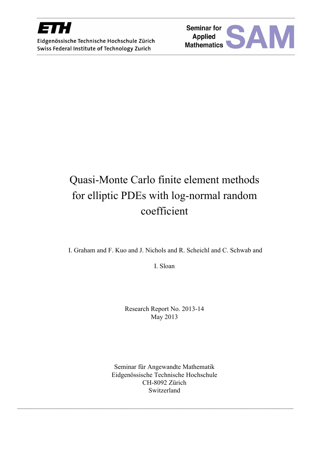

Eidgenössische Technische Hochschule Zürich Swiss Federal Institute of Technology Zurich



# Quasi-Monte Carlo finite element methods for elliptic PDEs with log-normal random coefficient

I. Graham and F. Kuo and J. Nichols and R. Scheichl and C. Schwab and

I. Sloan

Research Report No. 2013-14 May 2013

Seminar für Angewandte Mathematik Eidgenössische Technische Hochschule CH-8092 Zürich Switzerland

 $\mathcal{L}_\mathcal{L} = \{ \mathcal{L}_\mathcal{L} = \{ \mathcal{L}_\mathcal{L} = \{ \mathcal{L}_\mathcal{L} = \{ \mathcal{L}_\mathcal{L} = \{ \mathcal{L}_\mathcal{L} = \{ \mathcal{L}_\mathcal{L} = \{ \mathcal{L}_\mathcal{L} = \{ \mathcal{L}_\mathcal{L} = \{ \mathcal{L}_\mathcal{L} = \{ \mathcal{L}_\mathcal{L} = \{ \mathcal{L}_\mathcal{L} = \{ \mathcal{L}_\mathcal{L} = \{ \mathcal{L}_\mathcal{L} = \{ \mathcal{L}_\mathcal{$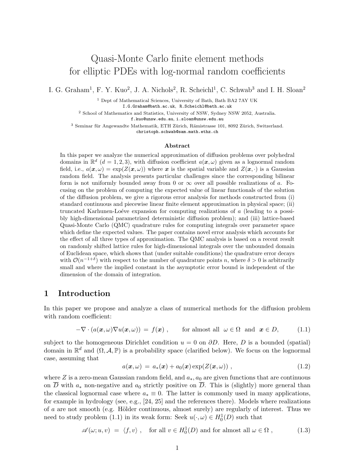# Quasi-Monte Carlo finite element methods for elliptic PDEs with log-normal random coefficients

I. G. Graham<sup>1</sup>, F. Y. Kuo<sup>2</sup>, J. A. Nichols<sup>2</sup>, R. Scheichl<sup>1</sup>, C. Schwab<sup>3</sup> and I. H. Sloan<sup>2</sup>

<sup>1</sup> Dept of Mathematical Sciences, University of Bath, Bath BA2 7AY UK

I.G.Graham@bath.ac.uk, R.Scheichl@bath.ac.uk

<sup>2</sup> School of Mathematics and Statistics, University of NSW, Sydney NSW 2052, Australia.

f.kuo@unsw.edu.au, i.sloan@unsw.edu.au

<sup>3</sup> Seminar für Angewandte Mathematik, ETH Zürich, Rämistrasse 101, 8092 Zürich, Switzerland.

christoph.schwab@sam.math.ethz.ch

#### Abstract

In this paper we analyze the numerical approximation of diffusion problems over polyhedral domains in  $\mathbb{R}^d$  (d = 1, 2, 3), with diffusion coefficient  $a(x, \omega)$  given as a lognormal random field, i.e.,  $a(x, \omega) = \exp(Z(x, \omega))$  where x is the spatial variable and  $Z(x, \cdot)$  is a Gaussian random field. The analysis presents particular challenges since the corresponding bilinear form is not uniformly bounded away from 0 or  $\infty$  over all possible realizations of a. Focusing on the problem of computing the expected value of linear functionals of the solution of the diffusion problem, we give a rigorous error analysis for methods constructed from (i) standard continuous and piecewise linear finite element approximation in physical space; (ii) truncated Karhunen-Loéve expansion for computing realizations of  $a$  (leading to a possibly high-dimensional parametrized deterministic diffusion problem); and (iii) lattice-based Quasi-Monte Carlo (QMC) quadrature rules for computing integrals over parameter space which define the expected values. The paper contains novel error analysis which accounts for the effect of all three types of approximation. The QMC analysis is based on a recent result on randomly shifted lattice rules for high-dimensional integrals over the unbounded domain of Euclidean space, which shows that (under suitable conditions) the quadrature error decays with  $\mathcal{O}(n^{-1+\delta})$  with respect to the number of quadrature points n, where  $\delta > 0$  is arbitrarily small and where the implied constant in the asymptotic error bound is independent of the dimension of the domain of integration.

# 1 Introduction

In this paper we propose and analyze a class of numerical methods for the diffusion problem with random coefficient:

$$
-\nabla \cdot (a(\boldsymbol{x}, \omega) \nabla u(\boldsymbol{x}, \omega)) = f(\boldsymbol{x}), \quad \text{for almost all } \omega \in \Omega \text{ and } \boldsymbol{x} \in D,
$$
 (1.1)

subject to the homogeneous Dirichlet condition  $u = 0$  on  $\partial D$ . Here, D is a bounded (spatial) domain in  $\mathbb{R}^d$  and  $(\Omega, \mathcal{A}, \mathbb{P})$  is a probability space (clarified below). We focus on the lognormal case, assuming that

$$
a(\boldsymbol{x},\omega) = a_*(\boldsymbol{x}) + a_0(\boldsymbol{x}) \exp(Z(\boldsymbol{x},\omega)), \qquad (1.2)
$$

where Z is a zero-mean Gaussian random field, and  $a_*, a_0$  are given functions that are continuous on  $\overline{D}$  with  $a_*$  non-negative and  $a_0$  strictly positive on  $\overline{D}$ . This is (slightly) more general than the classical lognormal case where  $a_* \equiv 0$ . The latter is commonly used in many applications, for example in hydrology (see, e.g., [24, 25] and the references there). Models where realizations of  $\alpha$  are not smooth (e.g. Hölder continuous, almost surely) are regularly of interest. Thus we need to study problem (1.1) in its weak form: Seek  $u(\cdot,\omega) \in H_0^1(D)$  such that

$$
\mathscr{A}(\omega; u, v) = \langle f, v \rangle \;, \quad \text{for all } v \in H_0^1(D) \text{ and for almost all } \omega \in \Omega \;, \tag{1.3}
$$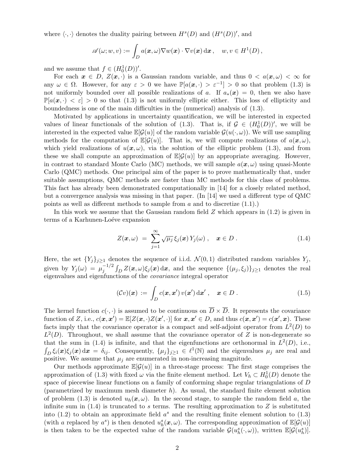where  $\langle \cdot, \cdot \rangle$  denotes the duality pairing between  $H^s(D)$  and  $(H^s(D))'$ , and

$$
\mathscr{A}(\omega; w, v) := \int_D a(\boldsymbol{x}, \omega) \nabla w(\boldsymbol{x}) \cdot \nabla v(\boldsymbol{x}) d\boldsymbol{x}, \quad w, v \in H^1(D),
$$

and we assume that  $f \in (H_0^1(D))'$ .

For each  $x \in D$ ,  $Z(x, \cdot)$  is a Gaussian random variable, and thus  $0 < a(x, \omega) < \infty$  for any  $\omega \in \Omega$ . However, for any  $\varepsilon > 0$  we have  $\mathbb{P}[a(\boldsymbol{x},\cdot) > \varepsilon^{-1}] > 0$  so that problem (1.3) is not uniformly bounded over all possible realizations of a. If  $a_*(x) = 0$ , then we also have  $\mathbb{P}[a(\mathbf{x},\cdot)<\varepsilon]>0$  so that (1.3) is not uniformly elliptic either. This loss of ellipticity and boundedness is one of the main difficulties in the (numerical) analysis of (1.3).

Motivated by applications in uncertainty quantification, we will be interested in expected values of linear functionals of the solution of (1.3). That is, if  $\mathcal{G} \in (H_0^1(D))'$ , we will be interested in the expected value  $\mathbb{E}[\mathcal{G}(u)]$  of the random variable  $\mathcal{G}(u(\cdot,\omega))$ . We will use sampling methods for the computation of  $\mathbb{E}[\mathcal{G}(u)]$ . That is, we will compute realizations of  $a(\mathbf{x}, \omega)$ , which yield realizations of  $u(x, \omega)$ , via the solution of the elliptic problem (1.3), and from these we shall compute an approximation of  $\mathbb{E}[G(u)]$  by an appropriate averaging. However, in contrast to standard Monte Carlo (MC) methods, we will sample  $a(\mathbf{x}, \omega)$  using quasi-Monte Carlo (QMC) methods. One principal aim of the paper is to prove mathematically that, under suitable assumptions, QMC methods are faster than MC methods for this class of problems. This fact has already been demonstrated computationally in [14] for a closely related method, but a convergence analysis was missing in that paper. (In [14] we used a different type of QMC points as well as different methods to sample from  $a$  and to discretize  $(1.1)$ .

In this work we assume that the Gaussian random field  $Z$  which appears in  $(1.2)$  is given in terms of a Karhunen-Loéve expansion

$$
Z(\boldsymbol{x},\omega) = \sum_{j=1}^{\infty} \sqrt{\mu_j} \xi_j(\boldsymbol{x}) Y_j(\omega) , \quad \boldsymbol{x} \in D . \qquad (1.4)
$$

Here, the set  $\{Y_j\}_{j\geq 1}$  denotes the sequence of i.i.d.  $\mathcal{N}(0,1)$  distributed random variables  $Y_j$ , given by  $Y_j(\omega) = \mu_j^{-1/2} \int_D Z(\boldsymbol{x}, \omega) \xi_j(\boldsymbol{x}) d\boldsymbol{x}$ , and the sequence  $\{(\mu_j, \xi_j)\}_{j \geq 1}$  denotes the real eigenvalues and eigenfunctions of the *covariance* integral operator

$$
(\mathcal{C}v)(\boldsymbol{x}) := \int_D c(\boldsymbol{x}, \boldsymbol{x}') v(\boldsymbol{x}') d\boldsymbol{x}', \quad \boldsymbol{x} \in D.
$$
 (1.5)

The kernel function  $c(\cdot, \cdot)$  is assumed to be continuous on  $\overline{D} \times \overline{D}$ . It represents the covariance function of Z, i.e.,  $c(\mathbf{x}, \mathbf{x}') = \mathbb{E}[Z(\mathbf{x}, \cdot)Z(\mathbf{x}', \cdot)]$  for  $\mathbf{x}, \mathbf{x}' \in D$ , and thus  $c(\mathbf{x}, \mathbf{x}') = c(\mathbf{x}', \mathbf{x})$ . These facts imply that the covariance operator is a compact and self-adjoint operator from  $L^2(D)$  to  $L^2(D)$ . Throughout, we shall assume that the covariance operator of Z is non-degenerate so that the sum in (1.4) is infinite, and that the eigenfunctions are orthonormal in  $L^2(D)$ , i.e.,  $\int_D \xi_i(x)\xi_j(x) dx = \delta_{ij}$ . Consequently,  $\{\mu_j\}_{j\geq 1} \in \ell^1(\mathbb{N})$  and the eigenvalues  $\mu_j$  are real and positive. We assume that  $\mu_i$  are enumerated in non-increasing magnitude.

Our methods approximate  $\mathbb{E}[\mathcal{G}(u)]$  in a three-stage process: The first stage comprises the approximation of (1.3) with fixed  $\omega$  via the finite element method. Let  $V_h \subset H_0^1(D)$  denote the space of piecewise linear functions on a family of conforming shape regular triangulations of D (parametrized by maximum mesh diameter  $h$ ). As usual, the standard finite element solution of problem (1.3) is denoted  $u_h(x,\omega)$ . In the second stage, to sample the random field a, the infinite sum in  $(1.4)$  is truncated to s terms. The resulting approximation to Z is substituted into (1.2) to obtain an approximate field  $a<sup>s</sup>$  and the resulting finite element solution to (1.3) (with a replaced by  $a^s$ ) is then denoted  $u_h^s(x,\omega)$ . The corresponding approximation of  $\mathbb{E}[\mathcal{G}(u)]$ is then taken to be the expected value of the random variable  $\mathcal{G}(u_h^s(\cdot,\omega))$ , written  $\mathbb{E}[\mathcal{G}(u_h^s)]$ .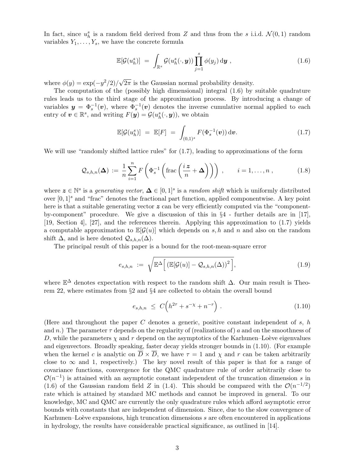In fact, since  $u_h^s$  is a random field derived from Z and thus from the s i.i.d.  $\mathcal{N}(0,1)$  random variables  $Y_1, \ldots, Y_s$ , we have the concrete formula

$$
\mathbb{E}[\mathcal{G}(u_h^s)] = \int_{\mathbb{R}^s} \mathcal{G}(u_h^s(\cdot, \boldsymbol{y})) \prod_{j=1}^s \phi(y_j) \, \mathrm{d}\boldsymbol{y} , \qquad (1.6)
$$

where  $\phi(y) = \exp(-y^2/2)/\sqrt{2\pi}$  is the Gaussian normal probability density.

The computation of the (possibly high dimensional) integral (1.6) by suitable quadrature rules leads us to the third stage of the approximation process. By introducing a change of variables  $y = \Phi_s^{-1}(v)$ , where  $\Phi_s^{-1}(v)$  denotes the inverse cumulative normal applied to each entry of  $\boldsymbol{v} \in \mathbb{R}^s$ , and writing  $F(\boldsymbol{y}) = \mathcal{G}(u^s_h(\cdot, \boldsymbol{y}))$ , we obtain

$$
\mathbb{E}[\mathcal{G}(u_h^s)] = \mathbb{E}[F] = \int_{(0,1)^s} F(\Phi_s^{-1}(\boldsymbol{v})) d\boldsymbol{v}.
$$
 (1.7)

We will use "randomly shifted lattice rules" for  $(1.7)$ , leading to approximations of the form

$$
Q_{s,h,n}(\Delta) := \frac{1}{n} \sum_{i=1}^{n} F\left(\Phi_s^{-1}\left(\text{frac}\left(\frac{iz}{n} + \Delta\right)\right)\right), \qquad i = 1,\dots, n ,
$$
 (1.8)

where  $z \in \mathbb{N}^s$  is a *generating vector*,  $\Delta \in [0,1]^s$  is a *random shift* which is uniformly distributed over  $[0,1]^s$  and "frac" denotes the fractional part function, applied componentwise. A key point here is that a suitable generating vector  $z$  can be very efficiently computed via the "componentby-component" procedure. We give a discussion of this in §4 - further details are in [17], [19, Section 4], [27], and the references therein. Applying this approximation to (1.7) yields a computable approximation to  $\mathbb{E}[\mathcal{G}(u)]$  which depends on s, h and n and also on the random shift  $\Delta$ , and is here denoted  $\mathcal{Q}_{s,h,n}(\Delta)$ .

The principal result of this paper is a bound for the root-mean-square error

$$
e_{s,h,n} := \sqrt{\mathbb{E}^{\Delta}\Big[ \left( \mathbb{E}[\mathcal{G}(u)] - \mathcal{Q}_{s,h,n}(\Delta) \right)^2 \Big]},
$$
\n(1.9)

where  $\mathbb{E}^{\Delta}$  denotes expectation with respect to the random shift  $\Delta$ . Our main result is Theorem 22, where estimates from §2 and §4 are collected to obtain the overall bound

$$
e_{s,h,n} \leq C \Big( h^{2\tau} + s^{-\chi} + n^{-r} \Big) \ . \tag{1.10}
$$

(Here and throughout the paper  $C$  denotes a generic, positive constant independent of  $s, h$ and n.) The parameter  $\tau$  depends on the regularity of (realizations of) a and on the smoothness of D, while the parameters  $\chi$  and r depend on the asymptotics of the Karhunen–Loève eigenvalues and eigenvectors. Broadly speaking, faster decay yields stronger bounds in (1.10). (For example when the kernel c is analytic on  $\overline{D} \times \overline{D}$ , we have  $\tau = 1$  and  $\chi$  and r can be taken arbitrarily close to  $\infty$  and 1, respectively.) The key novel result of this paper is that for a range of covariance functions, convergence for the QMC quadrature rule of order arbitrarily close to  $\mathcal{O}(n^{-1})$  is attained with an asymptotic constant independent of the truncation dimension s in (1.6) of the Gaussian random field Z in (1.4). This should be compared with the  $\mathcal{O}(n^{-1/2})$ rate which is attained by standard MC methods and cannot be improved in general. To our knowledge, MC and QMC are currently the only quadrature rules which afford asymptotic error bounds with constants that are independent of dimension. Since, due to the slow convergence of Karhunen–Loève expansions, high truncation dimensions  $s$  are often encountered in applications in hydrology, the results have considerable practical significance, as outlined in [14].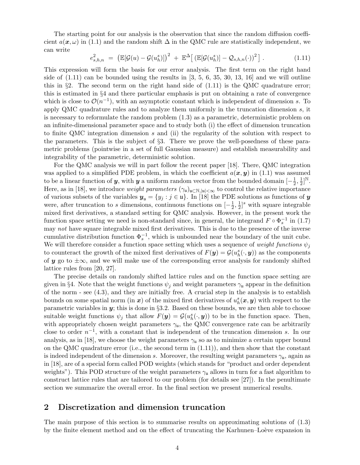The starting point for our analysis is the observation that since the random diffusion coefficient  $a(x, \omega)$  in (1.1) and the random shift  $\Delta$  in the QMC rule are statistically independent, we can write

$$
e_{s,h,n}^2 = \left(\mathbb{E}[\mathcal{G}(u) - \mathcal{G}(u_h^s)]\right)^2 + \mathbb{E}^{\Delta}\left[\left(\mathbb{E}[\mathcal{G}(u_h^s)] - \mathcal{Q}_{s,h,n}(\cdot)\right)^2\right].
$$
 (1.11)

This expression will form the basis for our error analysis. The first term on the right hand side of  $(1.11)$  can be bounded using the results in  $[3, 5, 6, 35, 30, 13, 16]$  and we will outline this in  $\S2$ . The second term on the right hand side of  $(1.11)$  is the QMC quadrature error; this is estimated in §4 and there particular emphasis is put on obtaining a rate of convergence which is close to  $\mathcal{O}(n^{-1})$ , with an asymptotic constant which is independent of dimension s. To apply QMC quadrature rules and to analyze them uniformly in the truncation dimension  $s$ , it is necessary to reformulate the random problem (1.3) as a parametric, deterministic problem on an infinite-dimensional parameter space and to study both (i) the effect of dimension truncation to finite QMC integration dimension s and (ii) the regularity of the solution with respect to the parameters. This is the subject of §3. There we prove the well-posedness of these parametric problems (pointwise in a set of full Gaussian measure) and establish measurability and integrability of the parametric, deterministic solution.

For the QMC analysis we will in part follow the recent paper [18]. There, QMC integration was applied to a simplified PDE problem, in which the coefficient  $a(x, y)$  in (1.1) was assumed to be a linear function of y, with y a uniform random vector from the bounded domain  $[-\frac{1}{2}]$  $\frac{1}{2}, \frac{1}{2}$  $\frac{1}{2}]^{\mathbb{N}}.$ Here, as in [18], we introduce *weight parameters*  $(\gamma_{\mu})_{\mu \subset \mathbb{N}, |\mu| < \infty}$  to control the relative importance of various subsets of the variables  $y_u = \{y_j : j \in \mathfrak{u}\}\$ . In [18] the PDE solutions as functions of y were, after truncation to s dimensions, continuous functions on  $\left[-\frac{1}{2}\right]$  $\frac{1}{2}, \frac{1}{2}$  $\frac{1}{2}$ <sup>s</sup> with square integrable mixed first derivatives, a standard setting for QMC analysis. However, in the present work the function space setting we need is non-standard since, in general, the integrand  $F \circ \Phi_s^{-1}$  in (1.7) may *not* have square integrable mixed first derivatives. This is due to the presence of the inverse cumulative distribution function  $\Phi_s^{-1}$ , which is unbounded near the boundary of the unit cube. We will therefore consider a function space setting which uses a sequence of *weight functions*  $\psi_j$ to counteract the growth of the mixed first derivatives of  $F(\mathbf{y}) = \mathcal{G}(u_h^s(\cdot, \mathbf{y}))$  as the components of y go to  $\pm\infty$ , and we will make use of the corresponding error analysis for randomly shifted lattice rules from [20, 27].

The precise details on randomly shifted lattice rules and on the function space setting are given in §4. Note that the weight functions  $\psi_j$  and weight parameters  $\gamma_u$  appear in the definition of the norm  $-$  see  $(4.3)$ , and they are initially free. A crucial step in the analysis is to establish bounds on some spatial norm (in  $x$ ) of the mixed first derivatives of  $u_h^s(x, y)$  with respect to the parametric variables in  $y$ ; this is done in §3.2. Based on these bounds, we are then able to choose suitable weight functions  $\psi_j$  that allow  $F(\mathbf{y}) = \mathcal{G}(u_h^s(\cdot, \mathbf{y}))$  to be in the function space. Then, with appropriately chosen weight parameters  $\gamma_{\mu}$ , the QMC convergence rate can be arbitrarily close to order  $n^{-1}$ , with a constant that is independent of the truncation dimension s. In our analysis, as in [18], we choose the weight parameters  $\gamma_{\mu}$  so as to minimize a certain upper bound on the QMC quadrature error (i.e., the second term in  $(1.11)$ ), and then show that the constant is indeed independent of the dimension s. Moreover, the resulting weight parameters  $\gamma_{\mu}$ , again as in [18], are of a special form called POD weights (which stands for "product and order dependent weights"). This POD structure of the weight parameters  $\gamma_u$  allows in turn for a fast algorithm to construct lattice rules that are tailored to our problem (for details see [27]). In the penultimate section we summarize the overall error. In the final section we present numerical results.

### 2 Discretization and dimension truncation

The main purpose of this section is to summarise results on approximating solutions of (1.3) by the finite element method and on the effect of truncating the Karhunen–Loève expansion in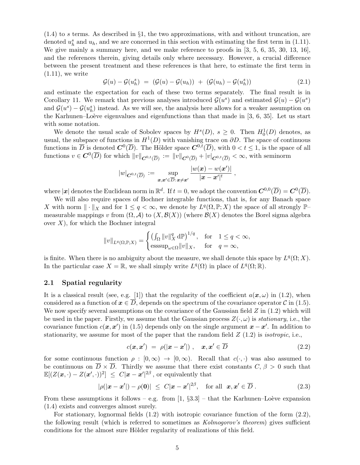$(1.4)$  to s terms. As described in §1, the two approximations, with and without truncation, are denoted  $u_h^s$  and  $u_h$ , and we are concerned in this section with estimating the first term in (1.11). We give mainly a summary here, and we make reference to proofs in  $[3, 5, 6, 35, 30, 13, 16]$ , and the references therein, giving details only where necessary. However, a crucial difference between the present treatment and these references is that here, to estimate the first term in  $(1.11)$ , we write

$$
\mathcal{G}(u) - \mathcal{G}(u_h^s) = (\mathcal{G}(u) - \mathcal{G}(u_h)) + (\mathcal{G}(u_h) - \mathcal{G}(u_h^s))
$$
\n(2.1)

and estimate the expectation for each of these two terms separately. The final result is in Corollary 11. We remark that previous analyses introduced  $\mathcal{G}(u^s)$  and estimated  $\mathcal{G}(u) - \mathcal{G}(u^s)$ and  $\mathcal{G}(u^s) - \mathcal{G}(u^s)$  instead. As we will see, the analysis here allows for a weaker assumption on the Karhunen–Loève eigenvalues and eigenfunctions than that made in  $[3, 6, 35]$ . Let us start with some notation.

We denote the usual scale of Sobolev spaces by  $H^s(D)$ ,  $s \geq 0$ . Then  $H_0^1(D)$  denotes, as usual, the subspace of functions in  $H^1(D)$  with vanishing trace on  $\partial D$ . The space of continuous functions in  $\overline{D}$  is denoted  $\mathbf{C}^0(\overline{D})$ . The Hölder space  $\mathbf{C}^{0,t}(\overline{D})$ , with  $0 < t \leq 1$ , is the space of all functions  $v \in C^0(\overline{D})$  for which  $||v||_{\mathbf{C}^{0,t}(\overline{D})} := ||v||_{\mathbf{C}^{0}(\overline{D})} + |v|_{\mathbf{C}^{0,t}(\overline{D})} < \infty$ , with seminorm

$$
|w|_{\mathbf{C}^{0,t}(\overline{D})} := \sup_{\boldsymbol{x}, \boldsymbol{x}' \in \overline{D} : \boldsymbol{x} \neq \boldsymbol{x}'} \frac{|w(\boldsymbol{x}) - w(\boldsymbol{x}')|}{|\boldsymbol{x} - \boldsymbol{x}'|^{t}} ,
$$

where  $|\mathbf{x}|$  denotes the Euclidean norm in  $\mathbb{R}^d$ . If  $t = 0$ , we adopt the convention  $\mathbf{C}^{0,0}(\overline{D}) = \mathbf{C}^0(\overline{D})$ .

We will also require spaces of Bochner integrable functions, that is, for any Banach space X with norm  $\|\cdot\|_X$  and for  $1 \leq q < \infty$ , we denote by  $L^q(\Omega, \mathbb{P}; X)$  the space of all strongly  $\mathbb{P}$ measurable mappings v from  $(\Omega, \mathcal{A})$  to  $(X, \mathcal{B}(X))$  (where  $\mathcal{B}(X)$  denotes the Borel sigma algebra over  $X$ ), for which the Bochner integral

$$
||v||_{L^q(\Omega,\mathbb{P};X)} = \begin{cases} \left(\int_{\Omega} ||v||_X^q \, d\mathbb{P}\right)^{1/q}, & \text{for} \quad 1 \le q < \infty, \\ \operatorname{esssup}_{\omega \in \Omega} ||v||_X, & \text{for} \quad q = \infty, \end{cases}
$$

is finite. When there is no ambiguity about the measure, we shall denote this space by  $L^q(\Omega; X)$ . In the particular case  $X = \mathbb{R}$ , we shall simply write  $L^q(\Omega)$  in place of  $L^q(\Omega;\mathbb{R})$ .

#### 2.1 Spatial regularity

It is a classical result (see, e.g. [1]) that the regularity of the coefficient  $a(x, \omega)$  in (1.2), when considered as a function of  $x \in D$ , depends on the spectrum of the covariance operator C in (1.5). We now specify several assumptions on the covariance of the Gaussian field  $Z$  in  $(1.2)$  which will be used in the paper. Firstly, we assume that the Gaussian process  $Z(\cdot, \omega)$  is *stationary*, i.e., the covariance function  $c(\mathbf{x}, \mathbf{x}')$  in (1.5) depends only on the single argument  $\mathbf{x} - \mathbf{x}'$ . In addition to stationarity, we assume for most of the paper that the random field Z (1.2) is *isotropic*, i.e.,

$$
c(\mathbf{x}, \mathbf{x}') = \rho(|\mathbf{x} - \mathbf{x}'|) , \quad \mathbf{x}, \mathbf{x}' \in \overline{D}
$$
 (2.2)

for some continuous function  $\rho : [0, \infty) \to [0, \infty)$ . Recall that  $c(\cdot, \cdot)$  was also assumed to be continuous on  $\overline{D} \times \overline{D}$ . Thirdly we assume that there exist constants  $C, \beta > 0$  such that  $\mathbb{E}[(Z(\boldsymbol{x},\cdot)-Z(\boldsymbol{x}',\cdot))^2] \ \leq \ C|\boldsymbol{x}-\boldsymbol{x}'|^{2\beta}$ , or equivalently that

$$
|\rho(|\boldsymbol{x}-\boldsymbol{x}'|)-\rho(\boldsymbol{0})| \leq C|\boldsymbol{x}-\boldsymbol{x}'|^{2\beta}, \quad \text{for all} \ \boldsymbol{x},\boldsymbol{x}' \in \overline{D} . \tag{2.3}
$$

From these assumptions it follows – e.g. from  $[1, \S3.3]$  – that the Karhunen–Loève expansion (1.4) exists and converges almost surely.

For stationary, lognormal fields (1.2) with isotropic covariance function of the form (2.2), the following result (which is referred to sometimes as *Kolmogorov's theorem*) gives sufficient conditions for the almost sure Hölder regularity of realizations of this field.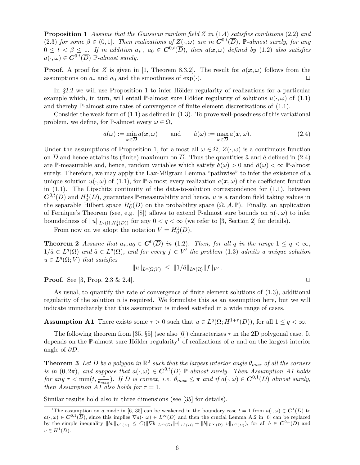Proposition 1 *Assume that the Gaussian random field* Z *in* (1.4) *satisfies conditions* (2.2) *and* (2.3) *for some*  $\beta \in (0,1]$ *. Then realizations of*  $Z(\cdot,\omega)$  *are in*  $\mathbb{C}^{0,t}(\overline{D})$ *,* P-almost surely, for any  $0 \leq t < \beta \leq 1$ . If in addition  $a_*, a_0 \in C^{0,t}(\overline{D})$ , then  $a(x,\omega)$  defined by (1.2) also satisfies  $a(\cdot,\omega) \in \mathbf{C}^{0,t}(\overline{D})$  P-almost surely.

**Proof.** A proof for Z is given in [1, Theorem 8.3.2]. The result for  $a(x, \omega)$  follows from the assumptions on  $a_*$  and  $a_0$  and the smoothness of  $\exp(\cdot)$ .

In  $\S 2.2$  we will use Proposition 1 to infer Hölder regularity of realizations for a particular example which, in turn, will entail P-almost sure Hölder regularity of solutions  $u(\cdot,\omega)$  of (1.1) and thereby P-almost sure rates of convergence of finite element discretizations of (1.1).

Consider the weak form of (1.1) as defined in (1.3). To prove well-posedness of this variational problem, we define, for P-almost every  $\omega \in \Omega$ ,

$$
\check{a}(\omega) := \min_{\mathbf{x} \in \overline{D}} a(\mathbf{x}, \omega) \quad \text{and} \quad \hat{a}(\omega) := \max_{\mathbf{x} \in \overline{D}} a(\mathbf{x}, \omega). \tag{2.4}
$$

Under the assumptions of Proposition 1, for almost all  $\omega \in \Omega$ ,  $Z(\cdot, \omega)$  is a continuous function on  $\overline{D}$  and hence attains its (finite) maximum on  $\overline{D}$ . Thus the quantities  $\check{a}$  and  $\hat{a}$  defined in (2.4) are P-measurable and, hence, random variables which satisfy  $\check{a}(\omega) > 0$  and  $\hat{a}(\omega) < \infty$  P-almost surely. Therefore, we may apply the Lax-Milgram Lemma "pathwise" to infer the existence of a unique solution  $u(\cdot,\omega)$  of (1.1), for P-almost every realization  $a(\mathbf{x},\omega)$  of the coefficient function in  $(1.1)$ . The Lipschitz continuity of the data-to-solution correspondence for  $(1.1)$ , between  $\mathcal{C}^{0,t}(\overline{D})$  and  $H_0^1(D)$ , guarantees P-measurability and hence, u is a random field taking values in the separable Hilbert space  $H_0^1(D)$  on the probability space  $(\Omega, \mathcal{A}, \mathbb{P})$ . Finally, an application of Fernique's Theorem (see, e.g. [8]) allows to extend P-almost sure bounds on  $u(\cdot,\omega)$  to infer boundedness of  $||u||_{L^q(\Omega; H_0^1(D))}$  for any  $0 < q < \infty$  (we refer to [3, Section 2] for details).

From now on we adopt the notation  $V = H_0^1(D)$ .

**Theorem 2** *Assume that*  $a_*, a_0 \in C^0(\overline{D})$  *in* (1.2)*. Then, for all* q *in the range*  $1 \le q < \infty$ *,*  $1/\check{a} \in L^q(\Omega)$  and  $\hat{a} \in L^q(\Omega)$ , and for every  $f \in V'$  the problem (1.3) admits a unique solution  $u \in L^q(\Omega; V)$  that satisfies

$$
||u||_{L^q(\Omega;V)} \leq ||1/\check{a}||_{L^q(\Omega)} ||f||_{V'}.
$$

**Proof.** See [3, Prop.  $2.3 \& 2.4$ ].

As usual, to quantify the rate of convergence of finite element solutions of (1.3), additional regularity of the solution  $u$  is required. We formulate this as an assumption here, but we will indicate immediately that this assumption is indeed satisfied in a wide range of cases.

**Assumption A1** There exists some  $\tau > 0$  such that  $u \in L^q(\Omega; H^{1+\tau}(D))$ , for all  $1 \le q < \infty$ .

The following theorem from [35,  $\S5$ ] (see also [6]) characterizes  $\tau$  in the 2D polygonal case. It depends on the P-almost sure Hölder regularity<sup>1</sup> of realizations of a and on the largest interior angle of  $\partial D$ .

**Theorem 3** Let D be a polygon in  $\mathbb{R}^2$  such that the largest interior angle  $\theta_{max}$  of all the corners *is in*  $(0, 2\pi)$ *, and suppose that*  $a(\cdot, \omega) \in C^{0,t}(\overline{D})$  P-almost surely. Then Assumption A1 holds *for any*  $\tau < \min(t, \frac{\pi}{\theta_{max}})$ . If D *is convex, i.e.*  $\theta_{max} \leq \pi$  *and if*  $a(\cdot, \omega) \in C^{0,1}(\overline{D})$  *almost surely, then Assumption A1 also holds for*  $\tau = 1$ *.* 

Similar results hold also in three dimensions (see [35] for details).

<sup>&</sup>lt;sup>1</sup>The assumption on a made in [6, 35] can be weakened in the boundary case  $t = 1$  from  $a(\cdot,\omega) \in C^1(\overline{D})$  to  $a(\cdot,\omega) \in \mathbf{C}^{0,1}(\overline{D})$ , since this implies  $\nabla a(\cdot,\omega) \in L^{\infty}(D)$  and then the crucial Lemma A.2 in [6] can be replaced by the simple inequality  $||bv||_{H^1(D)} \leq C(||\nabla b||_{L^{\infty}(D)} ||v||_{L^2(D)} + ||b||_{L^{\infty}(D)} ||v||_{H^1(D)}$ , for all  $b \in \mathbb{C}^{0,1}(\overline{D})$  and  $v \in H^1(D).$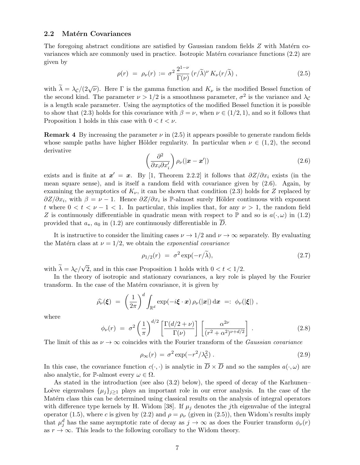#### 2.2 Matérn Covariances

The foregoing abstract conditions are satisfied by Gaussian random fields  $Z$  with Matérn covariances which are commonly used in practice. Isotropic Matérn covariance functions  $(2.2)$  are given by

$$
\rho(r) = \rho_{\nu}(r) := \sigma^2 \frac{2^{1-\nu}}{\Gamma(\nu)} (r/\tilde{\lambda})^{\nu} K_{\nu}(r/\tilde{\lambda}), \qquad (2.5)
$$

with  $\tilde{\lambda} = \lambda_c/(2\sqrt{\nu})$ . Here  $\Gamma$  is the gamma function and  $K_{\nu}$  is the modified Bessel function of the second kind. The parameter  $\nu > 1/2$  is a smoothness parameter,  $\sigma^2$  is the variance and  $\lambda_c$ is a length scale parameter. Using the asymptotics of the modified Bessel function it is possible to show that (2.3) holds for this covariance with  $\beta = \nu$ , when  $\nu \in (1/2, 1)$ , and so it follows that Proposition 1 holds in this case with  $0 < t < \nu$ .

**Remark 4** By increasing the parameter  $\nu$  in (2.5) it appears possible to generate random fields whose sample paths have higher Hölder regularity. In particular when  $\nu \in (1,2)$ , the second derivative

$$
\left(\frac{\partial^2}{\partial x_i \partial x'_i}\right) \rho_\nu(|\boldsymbol{x} - \boldsymbol{x}'|) \tag{2.6}
$$

exists and is finite at  $x' = x$ . By [1, Theorem 2.2.2] it follows that  $\partial Z/\partial x_i$  exists (in the mean square sense), and is itself a random field with covariance given by (2.6). Again, by examining the asymptotics of  $K_{\nu}$ , it can be shown that condition (2.3) holds for Z replaced by  $\partial Z/\partial x_i$ , with  $\beta = \nu - 1$ . Hence  $\partial Z/\partial x_i$  is P-almost surely Hölder continuous with exponent t where  $0 < t < \nu - 1 < 1$ . In particular, this implies that, for any  $\nu > 1$ , the random field Z is continuously differentiable in quadratic mean with respect to P and so is  $a(\cdot,\omega)$  in (1.2) provided that  $a_*, a_0$  in (1.2) are continuously differentiable in D.

It is instructive to consider the limiting cases  $\nu \to 1/2$  and  $\nu \to \infty$  separately. By evaluating the Matérn class at  $\nu = 1/2$ , we obtain the *exponential covariance* 

$$
\rho_{1/2}(r) = \sigma^2 \exp(-r/\tilde{\lambda}), \qquad (2.7)
$$

with  $\tilde{\lambda} = \lambda_c/\sqrt{2}$ , and in this case Proposition 1 holds with  $0 < t < 1/2$ .

In the theory of isotropic and stationary covariances, a key role is played by the Fourier transform. In the case of the Matérn covariance, it is given by

$$
\widehat{\rho_{\nu}}(\boldsymbol{\xi})\;=\;\left(\frac{1}{2\pi}\right)^d\int_{\mathbb{R}^d}\exp(-i\boldsymbol{\xi}\cdot\boldsymbol{x})\,\rho_{\nu}(|\boldsymbol{x}|)\,\mathrm{d}\boldsymbol{x}\;=\,:\;\phi_{\nu}(|\boldsymbol{\xi}|)\;,
$$

where

$$
\phi_{\nu}(r) = \sigma^2 \left(\frac{1}{\pi}\right)^{d/2} \left[\frac{\Gamma(d/2+\nu)}{\Gamma(\nu)}\right] \left[\frac{\alpha^{2\nu}}{(r^2+\alpha^2)^{\nu+d/2}}\right].
$$
\n(2.8)

The limit of this as  $\nu \to \infty$  coincides with the Fourier transform of the *Gaussian covariance* 

$$
\rho_{\infty}(r) = \sigma^2 \exp(-r^2/\lambda_c^2). \qquad (2.9)
$$

In this case, the covariance function  $c(\cdot, \cdot)$  is analytic in  $\overline{D} \times \overline{D}$  and so the samples  $a(\cdot, \omega)$  are also analytic, for P-almost every  $\omega \in \Omega$ .

As stated in the introduction (see also (3.2) below), the speed of decay of the Karhunen– Loève eigenvalues  $\{\mu_i\}_{i\geq 1}$  plays an important role in our error analysis. In the case of the Matérn class this can be determined using classical results on the analysis of integral operators with difference type kernels by H. Widom [38]. If  $\mu_j$  denotes the jth eigenvalue of the integral operator (1.5), where c is given by (2.2) and  $\rho = \rho_{\nu}$  (given in (2.5)), then Widom's results imply that  $\mu_j^d$  has the same asymptotic rate of decay as  $j \to \infty$  as does the Fourier transform  $\phi_{\nu}(r)$ as  $r \to \infty$ . This leads to the following corollary to the Widom theory.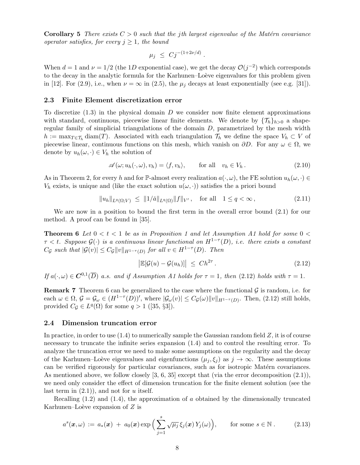**Corollary 5** *There exists*  $C > 0$  *such that the jth largest eigenvalue of the Matérn covariance operator satisfies, for every*  $j \geq 1$ *, the bound* 

$$
\mu_j \leq C j^{-(1+2\nu/d)}.
$$

When  $d = 1$  and  $\nu = 1/2$  (the 1D exponential case), we get the decay  $\mathcal{O}(j^{-2})$  which corresponds to the decay in the analytic formula for the Karhunen–Loève eigenvalues for this problem given in [12]. For (2.9), i.e., when  $\nu = \infty$  in (2.5), the  $\mu_j$  decays at least exponentially (see e.g. [31]).

#### 2.3 Finite Element discretization error

To discretize  $(1.3)$  in the physical domain D we consider now finite element approximations with standard, continuous, piecewise linear finite elements. We denote by  $\{\mathcal{T}_h\}_{h>0}$  a shaperegular family of simplicial triangulations of the domain D, parametrized by the mesh width  $h := \max_{T \in \mathcal{T}_h} \text{diam}(T)$ . Associated with each triangulation  $\mathcal{T}_h$  we define the space  $V_h \subset V$  of piecewise linear, continuous functions on this mesh, which vanish on  $\partial D$ . For any  $\omega \in \Omega$ , we denote by  $u_h(\omega, \cdot) \in V_h$  the solution of

$$
\mathscr{A}(\omega; u_h(\cdot, \omega), v_h) = \langle f, v_h \rangle, \quad \text{for all} \quad v_h \in V_h. \tag{2.10}
$$

As in Theorem 2, for every h and for P-almost every realization  $a(\cdot, \omega)$ , the FE solution  $u_h(\omega, \cdot) \in$  $V_h$  exists, is unique and (like the exact solution  $u(\omega, \cdot)$ ) satisfies the a priori bound

$$
||u_h||_{L^q(\Omega;V)} \le ||1/\check{a}||_{L^q(\Omega)} ||f||_{V'}, \text{ for all } 1 \le q < \infty,
$$
\n(2.11)

We are now in a position to bound the first term in the overall error bound (2.1) for our method. A proof can be found in [35].

**Theorem 6** Let  $0 < t < 1$  be as in Proposition 1 and let Assumption A1 hold for some  $0 <$ τ < t*. Suppose* <sup>G</sup>(·) *is a continuous linear functional on* <sup>H</sup>1−<sup>τ</sup> (D)*, i.e. there exists a constant*  $C_{\mathcal{G}}$  such that  $|\mathcal{G}(v)| \leq C_{\mathcal{G}} ||v||_{H^{1-\tau}(D)}$  for all  $v \in H^{1-\tau}(D)$ . Then

$$
\left| \mathbb{E}[\mathcal{G}(u) - \mathcal{G}(u_h)] \right| \leq Ch^{2\tau}.
$$
\n(2.12)

*If*  $a(\cdot, \omega) \in \mathbb{C}^{0,1}(\overline{D})$  *a.s. and if Assumption A1 holds for*  $\tau = 1$ *, then* (2.12) *holds with*  $\tau = 1$ *.* 

**Remark 7** Theorem 6 can be generalized to the case where the functional  $\mathcal{G}$  is random, i.e. for each  $\omega \in \Omega$ ,  $\mathcal{G} = \mathcal{G}_{\omega} \in (H^{1-\tau}(D))'$ , where  $|\mathcal{G}_{\omega}(v)| \leq C_{\mathcal{G}}(\omega) ||v||_{H^{1-\tau}(D)}$ . Then, (2.12) still holds, provided  $C_{\mathcal{G}} \in L^{q}(\Omega)$  for some  $q > 1$  ([35, §3]).

#### 2.4 Dimension truncation error

In practice, in order to use  $(1.4)$  to numerically sample the Gaussian random field  $Z$ , it is of course necessary to truncate the infinite series expansion (1.4) and to control the resulting error. To analyze the truncation error we need to make some assumptions on the regularity and the decay of the Karhunen–Loève eigenvalues and eigenfunctions  $(\mu_i, \xi_i)$  as  $j \to \infty$ . These assumptions can be verified rigorously for particular covariances, such as for isotropic Matérn covariances. As mentioned above, we follow closely [3, 6, 35] except that (via the error decomposition (2.1)), we need only consider the effect of dimension truncation for the finite element solution (see the last term in  $(2.1)$ , and not for u itself.

Recalling  $(1.2)$  and  $(1.4)$ , the approximation of a obtained by the dimensionally truncated Karhunen–Loève expansion of  $Z$  is

$$
a^{s}(\boldsymbol{x},\omega) := a_{*}(\boldsymbol{x}) + a_{0}(\boldsymbol{x}) \exp\Big(\sum_{j=1}^{s} \sqrt{\mu_{j}} \xi_{j}(\boldsymbol{x}) Y_{j}(\omega)\Big), \quad \text{for some } s \in \mathbb{N}. \quad (2.13)
$$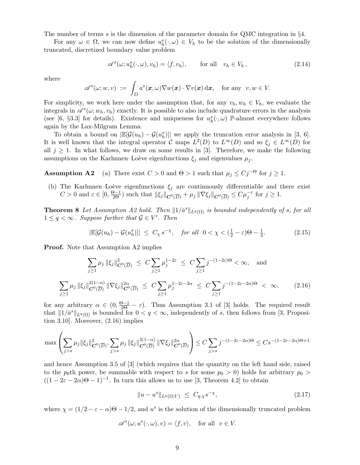The number of terms s is the dimension of the parameter domain for QMC integration in  $\S4$ .

For any  $\omega \in \Omega$ , we can now define  $u_h^s(\cdot,\omega) \in V_h$  to be the solution of the dimensionally truncated, discretized boundary value problem

$$
\mathscr{A}^s(\omega; u_h^s(\cdot, \omega), v_h) = \langle f, v_h \rangle, \quad \text{for all} \quad v_h \in V_h, \tag{2.14}
$$

where

$$
\mathscr{A}^s(\omega; w, v) \ := \ \int_D a^s(\boldsymbol{x}, \omega) \nabla w(\boldsymbol{x}) \cdot \nabla v(\boldsymbol{x}) \, d\boldsymbol{x}, \quad \text{for any} \ \ v, w \in V.
$$

For simplicity, we work here under the assumption that, for any  $v_h, w_h \in V_h$ , we evaluate the integrals in  $\mathscr{A}^s(\omega; w_h, v_h)$  exactly. It is possible to also include quadrature errors in the analysis (see [6, §3.3] for details). Existence and uniqueness for  $u_h^s(\cdot,\omega)$  P-almost everywhere follows again by the Lax-Milgram Lemma.

To obtain a bound on  $\left| \mathbb{E}[\mathcal{G}(u_h) - \mathcal{G}(u_h^s)] \right|$  we apply the truncation error analysis in [3, 6]. It is well known that the integral operator C maps  $L^2(D)$  to  $L^{\infty}(D)$  and so  $\xi_j \in L^{\infty}(D)$  for all  $j \geq 1$ . In what follows, we draw on some results in [3]. Therefore, we make the following assumptions on the Karhunen–Loève eigenfunctions  $\xi_i$  and eigenvalues  $\mu_i$ .

**Assumption A2** (a) There exist  $C > 0$  and  $\Theta > 1$  such that  $\mu_j \leq Cj^{-\Theta}$  for  $j \geq 1$ .

(b) The Karhunen–Loève eigenfunctions  $\xi_j$  are continuously differentiable and there exist  $C > 0$  and  $\varepsilon \in [0, \frac{\Theta - 1}{2\Theta})$  such that  $||\xi_j||_{\mathbf{C}^0(\overline{D})} + \mu_j ||\nabla \xi_j||_{\mathbf{C}^0(\overline{D})} \leq C\mu_j^{-\varepsilon}$  for  $j \geq 1$ .

**Theorem 8** Let Assumption A2 hold. Then  $||1/\check{a}^s||_{L^q(\Omega)}$  is bounded independently of s, for all  $1 \leq q < \infty$ . Suppose further that  $\mathcal{G} \in V'$ . Then

$$
|\mathbb{E}[\mathcal{G}(u_h) - \mathcal{G}(u_h^s)]| \le C_\chi s^{-\chi}, \quad \text{for all} \ \ 0 < \chi < \left(\frac{1}{2} - \varepsilon\right)\Theta - \frac{1}{2}.\tag{2.15}
$$

**Proof.** Note that Assumption A2 implies

$$
\sum_{j\geq 1} \mu_j \|\xi_j\|_{C^0(\overline{D})}^2 \leq C \sum_{j\geq 1} \mu_j^{1-2\varepsilon} \leq C \sum_{j\geq 1} j^{-(1-2\varepsilon)\Theta} < \infty, \text{ and}
$$
  

$$
\sum_{j\geq 1} \mu_j \|\xi_j\|_{C^0(\overline{D})}^{2(1-\alpha)} \|\nabla \xi_j\|_{C^0(\overline{D})}^{2\alpha} \leq C \sum_{j\geq 1} \mu_j^{1-2\varepsilon-2\alpha} \leq C \sum_{j\geq 1} j^{-(1-2\varepsilon-2\alpha)\Theta} < \infty, \qquad (2.16)
$$

for any arbitrary  $\alpha \in (0, \frac{\Theta - 1}{2\Theta} - \varepsilon)$ . Thus Assumption 3.1 of [3] holds. The required result that  $||1/\check{a}^s||_{L^q(\Omega)}$  is bounded for  $0 < q < \infty$ , independently of s, then follows from [3, Proposition 3.10]. Moreover, (2.16) implies

$$
\max\left(\sum_{j>s}\mu_j\|\xi_j\|_{\mathbf{C}^0(\overline{D})}^2,\sum_{j>s}\mu_j\,\|\xi_j\|_{\mathbf{C}^0(\overline{D})}^{2(1-\alpha)}\,\|\nabla\xi_j\|_{\mathbf{C}^0(\overline{D})}^{2\alpha}\right)\leq C\sum_{j>s}j^{-(1-2\varepsilon-2\alpha)\Theta}\leq Cs^{-(1-2\varepsilon-2\alpha)\Theta+1}
$$

and hence Assumption 3.5 of [3] (which requires that the quantity on the left hand side, raised to the p<sub>0</sub>th power, be summable with respect to s for some  $p_0 > 0$ ) holds for arbitrary  $p_0 > 0$  $((1 - 2\varepsilon - 2\alpha)\Theta - 1)^{-1}$ . In turn this allows us to use [3, Theorem 4.2] to obtain

$$
||u - u^s||_{L^q(\Omega; V)} \leq C_{q, \chi} s^{-\chi}, \tag{2.17}
$$

where  $\chi = (1/2 - \varepsilon - \alpha)\Theta - 1/2$ , and  $u^s$  is the solution of the dimensionally truncated problem

$$
\mathscr{A}^s(\omega; u^s(\cdot, \omega), v) = \langle f, v \rangle, \quad \text{for all} \ \ v \in V.
$$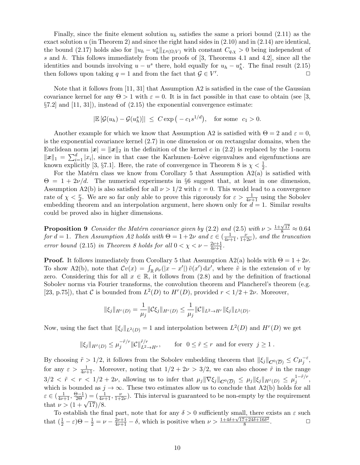Finally, since the finite element solution  $u_h$  satisfies the same a priori bound (2.11) as the exact solution  $u$  (in Theorem 2) and since the right hand sides in  $(2.10)$  and in  $(2.14)$  are identical, the bound (2.17) holds also for  $||u_h - u_h^s||_{L^q(\Omega, V)}$  with constant  $C_{q,\chi} > 0$  being independent of s and h. This follows immediately from the proofs of [3, Theorems 4.1 and 4.2], since all the identities and bounds involving  $u - u^s$  there, hold equally for  $u_h - u_h^s$ . The final result (2.15) then follows upon taking  $q = 1$  and from the fact that  $\mathcal{G} \in V'$ .  $\Box$ 

Note that it follows from [11, 31] that Assumption A2 is satisfied in the case of the Gaussian covariance kernel for any  $\Theta > 1$  with  $\varepsilon = 0$ . It is in fact possible in that case to obtain (see [3,  $\S7.2$  and  $[11, 31]$ , instead of  $(2.15)$  the exponential convergence estimate:

$$
|\mathbb{E}[\mathcal{G}(u_h) - \mathcal{G}(u_h^s)]| \leq C \exp(-c_1 s^{1/d}),
$$
 for some  $c_1 > 0$ .

Another example for which we know that Assumption A2 is satisfied with  $\Theta = 2$  and  $\varepsilon = 0$ , is the exponential covariance kernel (2.7) in one dimension or on rectangular domains, when the Euclidean norm  $|x| = ||x||_2$  in the definition of the kernel c in (2.2) is replaced by the 1-norm  $||x||_1 = \sum_{i=1}^d |x_i|$ , since in that case the Karhunen–Loève eigenvalues and eigenfunctions are known explicitly [3, §7.1]. Here, the rate of convergence in Theorem 8 is  $\chi < \frac{1}{2}$ .

For the Matérn class we know from Corollary 5 that Assumption  $A2(a)$  is satisfied with  $\Theta = 1 + 2\nu/d$ . The numerical experiments in §6 suggest that, at least in one dimension, Assumption A2(b) is also satisfied for all  $\nu > 1/2$  with  $\varepsilon = 0$ . This would lead to a convergence rate of  $\chi < \frac{\nu}{d}$ . We are so far only able to prove this rigorously for  $\varepsilon > \frac{1}{4\nu+1}$  using the Sobolev embedding theorem and an interpolation argument, here shown only for  $d = 1$ . Similar results could be proved also in higher dimensions.

**Proposition 9** Consider the Matérn covariance given by (2.2) and (2.5) with  $\nu > \frac{1+\sqrt{17}}{8} \approx 0.64$ *for*  $d = 1$ *. Then Assumption A2 holds with*  $\Theta = 1 + 2\nu$  *and*  $\varepsilon \in (\frac{1}{4\nu+1}, \frac{\nu}{1+\nu})$  $\frac{\nu}{1+2\nu}$ ), and the truncation *error bound* (2.15) *in Theorem 8 holds for all*  $0 < \chi < \nu - \frac{2\nu+1}{4\nu+1}$ *.* 

**Proof.** It follows immediately from Corollary 5 that Assumption A2(a) holds with  $\Theta = 1 + 2\nu$ . To show A2(b), note that  $Cv(x) = \int_{\mathbb{R}} \rho_{\nu}(|x-x'|) \tilde{v}(x') dx'$ , where  $\tilde{v}$  is the extension of v by zero. Considering this for all  $x \in \mathbb{R}$ , it follows from (2.8) and by the definition of fractional Sobolev norms via Fourier transforms, the convolution theorem and Plancherel's theorem (e.g. [23, p.75]), that C is bounded from  $L^2(D)$  to  $H^r(D)$ , provided  $r < 1/2 + 2\nu$ . Moreover,

$$
\|\xi_j\|_{H^r(D)} = \frac{1}{\mu_j} \|\mathcal{C}\xi_j\|_{H^r(D)} \le \frac{1}{\mu_j} \|\mathcal{C}\|_{L^2 \to H^r} \|\xi_j\|_{L^2(D)}.
$$

Now, using the fact that  $\|\xi_j\|_{L^2(D)} = 1$  and interpolation between  $L^2(D)$  and  $H^r(D)$  we get

$$
\|\xi_j\|_{H^{\tilde{r}}(D)} \leq \mu_j^{-\tilde{r}/r} \|\mathcal{C}\|_{L^2 \to H^r}^{\tilde{r}/r}, \qquad \text{for } \ 0 \leq \tilde{r} \leq r \text{ and for every } j \geq 1.
$$

By choosing  $\tilde{r} > 1/2$ , it follows from the Sobolev embedding theorem that  $\|\xi_j\|_{\mathbf{C}^0(\overline{D})} \leq C\mu_j^{-\varepsilon}$ , for any  $\varepsilon > \frac{1}{4\nu+1}$ . Moreover, noting that  $1/2 + 2\nu > 3/2$ , we can also choose  $\tilde{r}$  in the range  $3/2 < \tilde{r} < r < 1/2 + 2\nu$ , allowing us to infer that  $\mu_j \|\nabla \xi_j\|_{\mathbf{C}^0(\overline{D})} \leq \mu_j \|\xi_j\|_{H^{\tilde{r}}(D)} \leq \mu_j^{1-\tilde{r}/r}$ , which is bounded as  $j \to \infty$ . These two estimates allow us to conclude that A2(b) holds for all  $\varepsilon \in (\frac{1}{4\nu+1}, \frac{\Theta-1}{2\Theta}) = (\frac{1}{4\nu+1}, \frac{\nu}{1+\Xi})$  $\frac{\nu}{1+2\nu}$ ). This interval is guaranteed to be non-empty by the requirement that  $\nu > (1 + \sqrt{17})/8$ .

To establish the final part, note that for any  $\delta > 0$  sufficiently small, there exists an  $\varepsilon$  such that  $(\frac{1}{2} - \varepsilon)\Theta - \frac{1}{2} = \nu - \frac{2\nu + 1}{4\nu + 1} - \delta$ , which is positive when  $\nu > \frac{1 + 4\delta + \sqrt{17 + 24\delta + 16\delta^2}}{8}$ 8 .  $\Box$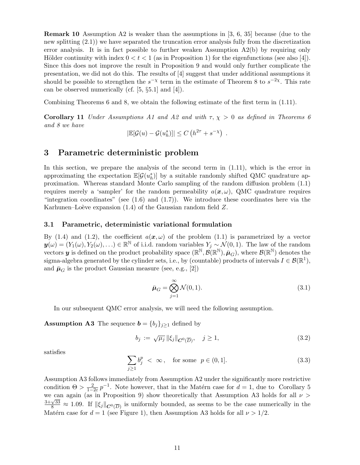Remark 10 Assumption A2 is weaker than the assumptions in [3, 6, 35] because (due to the new splitting (2.1)) we have separated the truncation error analysis fully from the discretization error analysis. It is in fact possible to further weaken Assumption  $A2(b)$  by requiring only Hölder continuity with index  $0 < t < 1$  (as in Proposition 1) for the eigenfunctions (see also [4]). Since this does not improve the result in Proposition 9 and would only further complicate the presentation, we did not do this. The results of [4] suggest that under additional assumptions it should be possible to strengthen the  $s^{-\chi}$  term in the estimate of Theorem 8 to  $s^{-2\chi}$ . This rate can be observed numerically (cf. [5, §5.1] and [4]).

Combining Theorems 6 and 8, we obtain the following estimate of the first term in (1.11).

Corollary 11 *Under Assumptions A1 and A2 and with*  $\tau$ ,  $\chi > 0$  *as defined in Theorems 6 and 8 we have*

$$
|\mathbb{E}[\mathcal{G}(u) - \mathcal{G}(u_h^s)]| \le C\left(h^{2\tau} + s^{-\chi}\right) .
$$

# 3 Parametric deterministic problem

In this section, we prepare the analysis of the second term in (1.11), which is the error in approximating the expectation  $\mathbb{E}[\mathcal{G}(u_h^s)]$  by a suitable randomly shifted QMC quadrature approximation. Whereas standard Monte Carlo sampling of the random diffusion problem (1.1) requires merely a 'sampler' for the random permeability  $a(x, \omega)$ , QMC quadrature requires "integration coordinates" (see  $(1.6)$  and  $(1.7)$ ). We introduce these coordinates here via the Karhunen–Loève expansion  $(1.4)$  of the Gaussian random field Z.

#### 3.1 Parametric, deterministic variational formulation

By (1.4) and (1.2), the coefficient  $a(x, \omega)$  of the problem (1.1) is parametrized by a vector  $y(\omega) = (Y_1(\omega), Y_2(\omega), \ldots) \in \mathbb{R}^{\mathbb{N}}$  of i.i.d. random variables  $Y_j \sim \mathcal{N}(0, 1)$ . The law of the random vectors  $y$  is defined on the product probability space  $(\mathbb{R}^{\mathbb{N}}, \mathcal{B}(\mathbb{R}^{\mathbb{N}}), \bar{\boldsymbol{\mu}}_G)$ , where  $\mathcal{B}(\mathbb{R}^{\mathbb{N}})$  denotes the sigma-algebra generated by the cylinder sets, i.e., by (countable) products of intervals  $I \in \mathcal{B}(\mathbb{R}^1)$ , and  $\bar{\mu}_{G}$  is the product Gaussian measure (see, e.g., [2])

$$
\bar{\boldsymbol{\mu}}_G = \bigotimes_{j=1}^{\infty} \mathcal{N}(0,1). \tag{3.1}
$$

In our subsequent QMC error analysis, we will need the following assumption.

**Assumption A3** The sequence  $\mathbf{b} = \{b_j\}_{j\geq1}$  defined by

$$
b_j := \sqrt{\mu_j} \left\| \xi_j \right\|_{\mathbf{C}^0(\overline{D})}, \quad j \ge 1,
$$
\n(3.2)

satisfies

$$
\sum_{j\geq 1} b_j^p < \infty \,, \quad \text{for some} \ \ p \in (0, 1]. \tag{3.3}
$$

Assumption A3 follows immediately from Assumption A2 under the significantly more restrictive condition  $\Theta > \frac{2}{1-2\varepsilon} p^{-1}$ . Note however, that in the Matérn case for  $d = 1$ , due to Corollary 5 tomation  $0 > 1-2\varepsilon$  P . Note nowever, that in the Materii case for  $a = 1$ , due to Coronary 5<br>we can again (as in Proposition 9) show theoretically that Assumption A3 holds for all  $\nu >$  $\frac{3+\sqrt{33}}{8} \approx 1.09$ . If  $\|\xi_j\|_{\mathbf{C}^0(\overline{D})}$  is uniformly bounded, as seems to be the case numerically in the Matérn case for  $d = 1$  (see Figure 1), then Assumption A3 holds for all  $\nu > 1/2$ .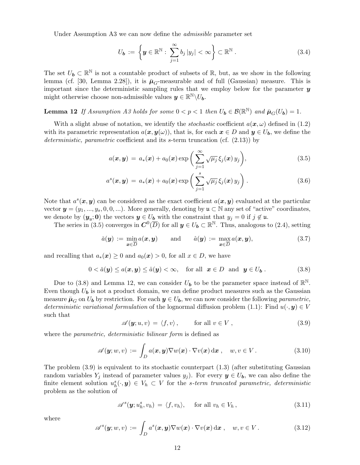Under Assumption A3 we can now define the *admissible* parameter set

$$
U_{\mathbf{b}} := \left\{ \mathbf{y} \in \mathbb{R}^{\mathbb{N}} : \sum_{j=1}^{\infty} b_j |y_j| < \infty \right\} \subset \mathbb{R}^{\mathbb{N}} \,. \tag{3.4}
$$

The set  $U_b \subset \mathbb{R}^{\mathbb{N}}$  is not a countable product of subsets of  $\mathbb{R}$ , but, as we show in the following lemma (cf. [30, Lemma 2.28]), it is  $\bar{\mu}_G$ -measurable and of full (Gaussian) measure. This is important since the deterministic sampling rules that we employ below for the parameter  $\boldsymbol{y}$ might otherwise choose non-admissible values  $y \in \mathbb{R}^{\mathbb{N}} \setminus U_b$ .

**Lemma 12** If Assumption A3 holds for some  $0 < p < 1$  then  $U_b \in \mathcal{B}(\mathbb{R}^N)$  and  $\bar{\mu}_G(U_b) = 1$ .

With a slight abuse of notation, we identify the *stochastic* coefficient  $a(x, \omega)$  defined in (1.2) with its parametric representation  $a(x, y(\omega))$ , that is, for each  $x \in D$  and  $y \in U_b$ , we define the *deterministic, parametric* coefficient and its s-term truncation (cf. (2.13)) by

$$
a(\boldsymbol{x}, \boldsymbol{y}) = a_*(\boldsymbol{x}) + a_0(\boldsymbol{x}) \exp\bigg(\sum_{j=1}^{\infty} \sqrt{\mu_j} \xi_j(\boldsymbol{x}) y_j\bigg), \qquad (3.5)
$$

$$
a^{s}(\boldsymbol{x},\boldsymbol{y})\,=\,a_{*}(\boldsymbol{x})+a_{0}(\boldsymbol{x})\exp\bigg(\sum_{j=1}^{s}\sqrt{\mu_{j}}\,\xi_{j}(\boldsymbol{x})\,y_{j}\bigg)\,.
$$

Note that  $a^s(x, y)$  can be considered as the exact coefficient  $a(x, y)$  evaluated at the particular vector  $y = (y_1, ..., y_s, 0, 0, ...)$ . More generally, denoting by  $\mathfrak{u} \subset \mathbb{N}$  any set of "active" coordinates, we denote by  $(\mathbf{y}_{\mathfrak{u}}; \mathbf{0})$  the vectors  $\mathbf{y} \in U_{\mathbf{b}}$  with the constraint that  $y_j = 0$  if  $j \notin \mathfrak{u}$ .

The series in (3.5) converges in  $\mathbf{C}^0(\overline{D})$  for all  $\mathbf{y} \in U_{\mathbf{b}} \subset \mathbb{R}^{\mathbb{N}}$ . Thus, analogous to (2.4), setting

$$
\check{a}(\boldsymbol{y}) := \min_{\boldsymbol{x} \in \overline{D}} a(\boldsymbol{x}, \boldsymbol{y}) \quad \text{and} \quad \hat{a}(\boldsymbol{y}) := \max_{\boldsymbol{x} \in \overline{D}} a(\boldsymbol{x}, \boldsymbol{y}), \tag{3.7}
$$

and recalling that  $a_*(x) \geq 0$  and  $a_0(x) > 0$ , for all  $x \in D$ , we have

$$
0 < \check{a}(\mathbf{y}) \le a(\mathbf{x}, \mathbf{y}) \le \hat{a}(\mathbf{y}) < \infty, \quad \text{for all} \ \ \mathbf{x} \in D \ \ \text{and} \ \ \mathbf{y} \in U_{\mathbf{b}} \,. \tag{3.8}
$$

Due to (3.8) and Lemma 12, we can consider  $U_{\boldsymbol{b}}$  to be the parameter space instead of  $\mathbb{R}^{\mathbb{N}}$ . Even though  $U_{\mathbf{b}}$  is not a product domain, we can define product measures such as the Gaussian measure  $\bar{\mu}_G$  on  $U_b$  by restriction. For each  $y \in U_b$ , we can now consider the following *parametric*, *deterministic variational formulation* of the lognormal diffusion problem (1.1): Find  $u(\cdot, y) \in V$ such that

$$
\mathscr{A}(\mathbf{y}; u, v) = \langle f, v \rangle, \quad \text{for all } v \in V, \tag{3.9}
$$

where the *parametric, deterministic bilinear form* is defined as

$$
\mathscr{A}(\boldsymbol{y};w,v) := \int_D a(\boldsymbol{x},\boldsymbol{y}) \nabla w(\boldsymbol{x}) \cdot \nabla v(\boldsymbol{x}) d\boldsymbol{x}, \quad w, v \in V.
$$
 (3.10)

The problem  $(3.9)$  is equivalent to its stochastic counterpart  $(1.3)$  (after substituting Gaussian random variables  $Y_j$  instead of parameter values  $y_j$ ). For every  $y \in U_b$ , we can also define the finite element solution  $u_h^s(\cdot, y) \in V_h \subset V$  for the *s*-term truncated parametric, deterministic problem as the solution of

$$
\mathscr{A}^s(\mathbf{y}; u_h^s, v_h) = \langle f, v_h \rangle, \quad \text{for all } v_h \in V_h,
$$
\n(3.11)

where

$$
\mathscr{A}^s(\boldsymbol{y};w,v) := \int_D a^s(\boldsymbol{x},\boldsymbol{y}) \nabla w(\boldsymbol{x}) \cdot \nabla v(\boldsymbol{x}) d\boldsymbol{x}, \quad w, v \in V.
$$
 (3.12)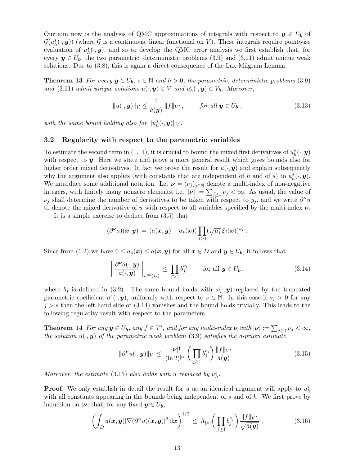Our aim now is the analysis of QMC approximations of integrals with respect to  $y \in U_b$  of  $\mathcal{G}(u^s_h(\cdot, y))$  (where  $\mathcal G$  is a continuous, linear functional on V). These integrals require pointwise evaluation of  $u_h^s(\cdot, y)$ , and so to develop the QMC error analysis we first establish that, for every  $y \in U_b$ , the two parametric, deterministic problems (3.9) and (3.11) admit unique weak solutions. Due to (3.8), this is again a direct consequence of the Lax-Milgram Lemma.

**Theorem 13** For every  $y \in U_b$ ,  $s \in \mathbb{N}$  and  $h > 0$ , the parametric, deterministic problems (3.9) *and* (3.11) *admit unique solutions*  $u(\cdot, y) \in V$  *and*  $u_h^s(\cdot, y) \in V_h$ *. Moreover,* 

$$
||u(\cdot, \mathbf{y})||_V \le \frac{1}{\check{a}(\mathbf{y})} ||f||_{V'}, \quad \text{for all } \mathbf{y} \in U_{\mathbf{b}}, \tag{3.13}
$$

with the same bound holding also for  $||u_h^s(\cdot, \mathbf{y})||_V$ .

#### 3.2 Regularity with respect to the parametric variables

To estimate the second term in (1.11), it is crucial to bound the mixed first derivatives of  $u_h^s(\cdot, y)$ with respect to **y**. Here we state and prove a more general result which gives bounds also for higher order mixed derivatives. In fact we prove the result for  $u(\cdot, y)$  and explain subsequently why the argument also applies (with constants that are independent of h and of s) to  $u_h^s(\cdot, \mathbf{y})$ . We introduce some additional notation. Let  $\mathbf{v} = (\nu_j)_{j \in \mathbb{N}}$  denote a multi-index of non-negative integers, with finitely many nonzero elements, i.e.  $|\nu| := \sum_{j\geq 1} \nu_j < \infty$ . As usual, the value of  $\nu_j$  shall determine the number of derivatives to be taken with respect to  $y_j$ , and we write  $\partial^{\nu}u$ to denote the mixed derivative of u with respect to all variables specified by the multi-index  $\nu$ .

It is a simple exercise to deduce from (3.5) that

$$
(\partial^{\boldsymbol{\nu}} a)(\boldsymbol{x},\boldsymbol{y})\,=\,(a(\boldsymbol{x},\boldsymbol{y})-a_*(\boldsymbol{x}))\prod_{j\geq 1}(\sqrt{\mu_j}\,\xi_j(\boldsymbol{x}))^{\nu_j}
$$

Since from (1.2) we have  $0 \le a_*(x) \le a(x, y)$  for all  $x \in D$  and  $y \in U_b$ , it follows that

$$
\left\|\frac{\partial^{\nu}a(\cdot,\mathbf{y})}{a(\cdot,\mathbf{y})}\right\|_{L^{\infty}(D)} \leq \prod_{j\geq 1} b_j^{\nu_j} \quad \text{for all } \mathbf{y} \in U_{\mathbf{b}}, \tag{3.14}
$$

.

where  $b_j$  is defined in (3.2). The same bound holds with  $a(\cdot, y)$  replaced by the truncated parametric coefficient  $a^s(\cdot, y)$ , uniformly with respect to  $s \in \mathbb{N}$ . In this case if  $\nu_j > 0$  for any  $j > s$  then the left-hand side of (3.14) vanishes and the bound holds trivially. This leads to the following regularity result with respect to the parameters.

**Theorem 14** *For any*  $y \in U_b$ *, any*  $f \in V'$ *, and for any multi-index*  $\nu$  *with*  $|\nu| := \sum_{j \geq 1} \nu_j < \infty$ *, the solution*  $u(\cdot, y)$  *of the parametric weak problem* (3.9) *satisfies the a-priori estimate* 

$$
\|\partial^{\boldsymbol{\nu}} u(\cdot,\boldsymbol{y})\|_{V} \leq \frac{|\boldsymbol{\nu}|!}{(\ln 2)^{|\boldsymbol{\nu}|}} \bigg(\prod_{j\geq 1} b_j^{\nu_j}\bigg) \frac{\|f\|_{V'}}{\check{a}(\boldsymbol{y})} . \tag{3.15}
$$

*Moreover, the estimate* (3.15) *also holds with* u *replaced by*  $u_h^s$ .

**Proof.** We only establish in detail the result for u as an identical argument will apply to  $u_h^s$ with all constants appearing in the bounds being independent of  $s$  and of  $h$ . We first prove by induction on  $|\nu|$  that, for any fixed  $y \in U_b$ ,

$$
\left(\int_D a(\boldsymbol{x}, \boldsymbol{y}) |\nabla(\partial^{\boldsymbol{\nu}} u)(\boldsymbol{x}, \boldsymbol{y})|^2 d\boldsymbol{x}\right)^{1/2} \leq \Lambda_{|\boldsymbol{\nu}|} \left(\prod_{j\geq 1} b_j^{\nu_j}\right) \frac{\|f\|_{V'}}{\sqrt{\tilde{a}(\boldsymbol{y})}},\tag{3.16}
$$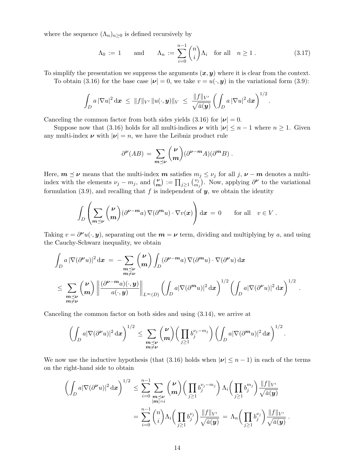where the sequence  $(\Lambda_n)_{n\geq 0}$  is defined recursively by

$$
\Lambda_0 := 1 \quad \text{and} \quad \Lambda_n := \sum_{i=0}^{n-1} \binom{n}{i} \Lambda_i \quad \text{for all} \quad n \ge 1 \,. \tag{3.17}
$$

To simplify the presentation we suppress the arguments  $(x, y)$  where it is clear from the context.

To obtain (3.16) for the base case  $|\nu| = 0$ , we take  $v = u(\cdot, y)$  in the variational form (3.9):

$$
\int_D a\,|\nabla u|^2\,\mathrm{d}\boldsymbol{x} \,\,\leq\,\,\|f\|_{V'}\,\|u(\cdot,\boldsymbol{y})\|_V\,\,\leq\,\,\frac{\|f\|_{V'}}{\sqrt{\check{a}(\boldsymbol{y})}}\left(\int_D a\,|\nabla u|^2\,\mathrm{d}\boldsymbol{x}\right)^{1/2}.
$$

Canceling the common factor from both sides yields (3.16) for  $|\nu| = 0$ .

Suppose now that (3.16) holds for all multi-indices  $\nu$  with  $|\nu| \leq n-1$  where  $n \geq 1$ . Given any multi-index  $\nu$  with  $|\nu| = n$ , we have the Leibniz product rule

$$
\partial^{\nu}(AB) = \sum_{m \preceq \nu} {\nu \choose m} (\partial^{\nu-m} A)(\partial^m B) .
$$

Here,  $m \leq \nu$  means that the multi-index m satisfies  $m_j \leq \nu_j$  for all j,  $\nu - m$  denotes a multiindex with the elements  $\nu_j - m_j$ , and  $\binom{\nu}{m}$  $\binom{\nu}{m}:=\prod_{j\geq 1}\binom{\nu_j}{m_j}$  $\begin{bmatrix} \nu_j \\ m_j \end{bmatrix}$ . Now, applying  $\partial^{\nu}$  to the variational formulation (3.9), and recalling that f is independent of  $y$ , we obtain the identity

$$
\int_D \left( \sum_{m\preceq \nu} \binom{\nu}{m} (\partial^{\nu-m} a) \, \nabla (\partial^m u) \cdot \nabla v(x) \right) \mathrm{d} \boldsymbol{x} \, = \, 0 \qquad \text{for all} \quad v \in V \; .
$$

Taking  $v = \partial^{\nu}u(\cdot, y)$ , separating out the  $m = \nu$  term, dividing and multiplying by a, and using the Cauchy-Schwarz inequality, we obtain

$$
\int_{D} a |\nabla(\partial^{\nu}u)|^{2} dx = - \sum_{\substack{m \preceq \nu \\ m \neq \nu}} {\binom{\nu}{m}} \int_{D} (\partial^{\nu-m}a) \nabla(\partial^m u) \cdot \nabla(\partial^{\nu}u) dx
$$
\n
$$
\leq \sum_{\substack{m \preceq \nu \\ m \neq \nu}} {\binom{\nu}{m}} \left\| \frac{(\partial^{\nu-m}a)(\cdot, y)}{a(\cdot, y)} \right\|_{L^{\infty}(D)} \left( \int_{D} a |\nabla(\partial^m u)|^{2} dx \right)^{1/2} \left( \int_{D} a |\nabla(\partial^{\nu}u)|^{2} dx \right)^{1/2} .
$$

Canceling the common factor on both sides and using (3.14), we arrive at

$$
\left(\int_D a|\nabla(\partial^{\boldsymbol{\nu}} u)|^2\,\mathrm{d}\boldsymbol{x}\right)^{1/2}\leq \sum_{\substack{\boldsymbol{m}\preceq \boldsymbol{\nu}\\ \boldsymbol{m}\neq \boldsymbol{\nu}}}\binom{\boldsymbol{\nu}}{\boldsymbol{m}}\left(\prod_{j\geq 1}b_j^{\nu_j-m_j}\right)\left(\int_D a|\nabla(\partial^{\boldsymbol{m}} u)|^2\,\mathrm{d}\boldsymbol{x}\right)^{1/2}.
$$

We now use the inductive hypothesis (that (3.16) holds when  $|\nu| \leq n-1$ ) in each of the terms on the right-hand side to obtain

$$
\left(\int_D a|\nabla(\partial^{\nu}u)|^2\,\mathrm{d}\mathbf{x}\right)^{1/2} \leq \sum_{i=0}^{n-1} \sum_{\substack{\mathbf{m}\preceq \nu\\|\mathbf{m}|=i}} {\mu\choose i} \left(\prod_{j\geq 1} b_j^{\nu_j-m_j}\right) \Lambda_i \left(\prod_{j\geq 1} b_j^{m_j}\right) \frac{\|f\|_{V'}}{\sqrt{\check{a}(\mathbf{y})}}\\= \sum_{i=0}^{n-1} {n\choose i} \Lambda_i \left(\prod_{j\geq 1} b_j^{\nu_j}\right) \frac{\|f\|_{V'}}{\sqrt{\check{a}(\mathbf{y})}} = \Lambda_n \left(\prod_{j\geq 1} b_j^{\nu_j}\right) \frac{\|f\|_{V'}}{\sqrt{\check{a}(\mathbf{y})}}.
$$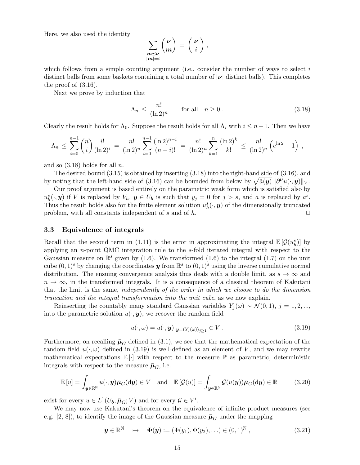Here, we also used the identity

$$
\sum_{\substack{\boldsymbol{m} \preceq \boldsymbol{\nu} \\ |\boldsymbol{m}| = i}} \binom{\boldsymbol{\nu}}{\boldsymbol{m}} = \binom{|\boldsymbol{\nu}|}{i},
$$

which follows from a simple counting argument (i.e., consider the number of ways to select  $i$ distinct balls from some baskets containing a total number of  $|\nu|$  distinct balls). This completes the proof of (3.16).

Next we prove by induction that

$$
\Lambda_n \le \frac{n!}{(\ln 2)^n} \qquad \text{for all} \quad n \ge 0 \,. \tag{3.18}
$$

Clearly the result holds for  $\Lambda_0$ . Suppose the result holds for all  $\Lambda_i$  with  $i \leq n-1$ . Then we have

$$
\Lambda_n \leq \sum_{i=0}^{n-1} {n \choose i} \frac{i!}{(\ln 2)^i} = \frac{n!}{(\ln 2)^n} \sum_{i=0}^{n-1} \frac{(\ln 2)^{n-i}}{(n-i)!} = \frac{n!}{(\ln 2)^n} \sum_{k=1}^n \frac{(\ln 2)^k}{k!} \leq \frac{n!}{(\ln 2)^n} \left(e^{\ln 2} - 1\right),
$$

and so  $(3.18)$  holds for all n.

The desired bound (3.15) is obtained by inserting (3.18) into the right-hand side of (3.16), and by noting that the left-hand side of (3.16) can be bounded from below by  $\sqrt{\check{a}(\boldsymbol{y})} \|\partial^{\boldsymbol{\nu}} u(\cdot,\boldsymbol{y})\|_V$ .

Our proof argument is based entirely on the parametric weak form which is satisfied also by  $u_h^s(\cdot, \mathbf{y})$  if V is replaced by  $V_h$ ,  $\mathbf{y} \in U_b$  is such that  $y_j = 0$  for  $j > s$ , and a is replaced by  $a^s$ . Thus the result holds also for the finite element solution  $u_h^s(\cdot, y)$  of the dimensionally truncated problem, with all constants independent of s and of h.  $\Box$ 

#### 3.3 Equivalence of integrals

Recall that the second term in (1.11) is the error in approximating the integral  $\mathbb{E}[\mathcal{G}(u_h^s)]$  by applying an n-point QMC integration rule to the s-fold iterated integral with respect to the Gaussian measure on  $\mathbb{R}^s$  given by (1.6). We transformed (1.6) to the integral (1.7) on the unit cube  $(0,1)^s$  by changing the coordinates  $y$  from  $\mathbb{R}^s$  to  $(0,1)^s$  using the inverse cumulative normal distribution. The ensuing convergence analysis thus deals with a double limit, as  $s \to \infty$  and  $n \to \infty$ , in the transformed integrals. It is a consequence of a classical theorem of Kakutani that the limit is the same, *independently of the order in which we choose to do the dimension truncation and the integral transformation into the unit cube*, as we now explain.

Reinserting the countably many standard Gaussian variables  $Y_i(\omega) \sim \mathcal{N}(0,1), j = 1,2,...$ into the parametric solution  $u(\cdot, y)$ , we recover the random field

$$
u(\cdot,\omega) = u(\cdot,\mathbf{y})|_{\mathbf{y}=(Y_j(\omega))_{j\geq 1}} \in V.
$$
\n(3.19)

Furthermore, on recalling  $\bar{\mu}_{G}$  defined in (3.1), we see that the mathematical expectation of the random field  $u(\cdot,\omega)$  defined in (3.19) is well-defined as an element of V, and we may rewrite mathematical expectations  $\mathbb{E}[\cdot]$  with respect to the measure  $\mathbb{P}$  as parametric, deterministic integrals with respect to the measure  $\bar{\mu}_G$ , i.e.

$$
\mathbb{E}[u] = \int_{\mathbf{y} \in \mathbb{R}^{\mathbb{N}}} u(\cdot, \mathbf{y}) \bar{\boldsymbol{\mu}}_G(\mathrm{d}\mathbf{y}) \in V \quad \text{and} \quad \mathbb{E}[\mathcal{G}(u)] = \int_{\mathbf{y} \in \mathbb{R}^{\mathbb{N}}} \mathcal{G}(u(\mathbf{y})) \bar{\boldsymbol{\mu}}_G(\mathrm{d}\mathbf{y}) \in \mathbb{R} \tag{3.20}
$$

exist for every  $u \in L^1(U_b, \bar{\mu}_G; V)$  and for every  $\mathcal{G} \in V'.$ 

We may now use Kakutani's theorem on the equivalence of infinite product measures (see e.g. [2, 8]), to identify the image of the Gaussian measure  $\bar{\mu}_G$  under the mapping

$$
\mathbf{y} \in \mathbb{R}^{\mathbb{N}} \quad \mapsto \quad \mathbf{\Phi}(\mathbf{y}) := (\Phi(y_1), \Phi(y_2), \ldots) \in (0, 1)^{\mathbb{N}}, \tag{3.21}
$$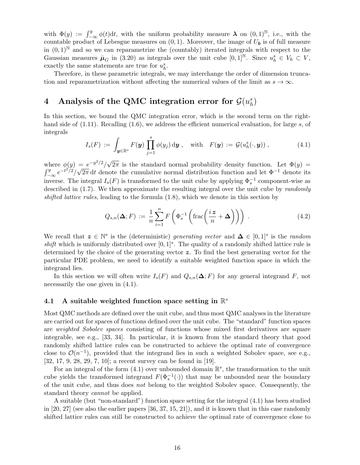with  $\Phi(y) := \int_{-\infty}^{y} \phi(t) dt$ , with the uniform probability measure  $\lambda$  on  $(0, 1)^{\mathbb{N}}$ , i.e., with the countable product of Lebesgue measures on  $(0, 1)$ . Moreover, the image of  $U_b$  is of full measure in  $(0,1)^{\mathbb{N}}$  and so we can reparametrize the (countably) iterated integrals with respect to the Gaussian measures  $\bar{\mu}_G$  in (3.20) as integrals over the unit cube  $[0,1]^{\mathbb{N}}$ . Since  $u_h^s \in V_h \subset V$ , exactly the same statements are true for  $u_h^s$ .

Therefore, in these parametric integrals, we may interchange the order of dimension truncation and reparametrization without affecting the numerical values of the limit as  $s \to \infty$ .

#### 4 Analysis of the QMC integration error for  $\mathcal{G}(u_h^s)$  $\binom{s}{h}$

In this section, we bound the QMC integration error, which is the second term on the righthand side of  $(1.11)$ . Recalling  $(1.6)$ , we address the efficient numerical evaluation, for large s, of integrals

$$
I_s(F) := \int_{\mathbf{y} \in \mathbb{R}^s} F(\mathbf{y}) \prod_{j=1}^s \phi(y_j) \, \mathrm{d}\mathbf{y} , \quad \text{with} \quad F(\mathbf{y}) := \mathcal{G}(u_h^s(\cdot, \mathbf{y})) , \tag{4.1}
$$

where  $\phi(y) = e^{-y^2/2}/\sqrt{2}$ where  $\phi(y) = e^{-y^2/2}/\sqrt{2\pi}$  is the standard normal probability density function. Let  $\Phi(y) =$ <br> $\int_y^y e^{-t^2/2}/\sqrt{2\pi} dt$  denote the cumulative normal distribution function and let  $\Phi^{-1}$  denote its  $-\infty e^{-t^2/2}/\sqrt{2\pi} dt$  denote the cumulative normal distribution function and let  $\Phi^{-1}$  denote its inverse. The integral  $I_s(F)$  is transformed to the unit cube by applying  $\Phi_s^{-1}$  component-wise as described in (1.7). We then approximate the resulting integral over the unit cube by *randomly shifted lattice rules*, leading to the formula (1.8), which we denote in this section by

$$
Q_{s,n}(\Delta;F) := \frac{1}{n} \sum_{i=1}^{n} F\left(\Phi_s^{-1}\left(\text{frac}\left(\frac{iz}{n} + \Delta\right)\right)\right) \tag{4.2}
$$

We recall that  $z \in \mathbb{N}^s$  is the (deterministic) *generating vector* and  $\Delta \in [0,1]^s$  is the *random* shift which is uniformly distributed over  $[0,1]^s$ . The quality of a randomly shifted lattice rule is determined by the choice of the generating vector  $z$ . To find the best generating vector for the particular PDE problem, we need to identify a suitable weighted function space in which the integrand lies.

In this section we will often write  $I_s(F)$  and  $Q_{s,n}(\Delta; F)$  for any general integrand F, not necessarily the one given in (4.1).

# 4.1 A suitable weighted function space setting in  $\mathbb{R}^s$

Most QMC methods are defined over the unit cube, and thus most QMC analyses in the literature are carried out for spaces of functions defined over the unit cube. The "standard" function spaces are *weighted Sobolev spaces* consisting of functions whose mixed first derivatives are square integrable, see e.g., [33, 34]. In particular, it is known from the standard theory that good randomly shifted lattice rules can be constructed to achieve the optimal rate of convergence close to  $\mathcal{O}(n^{-1})$ , provided that the integrand lies in such a weighted Sobolev space, see e.g., [32, 17, 9, 28, 29, 7, 10]; a recent survey can be found in [19].

For an integral of the form  $(4.1)$  over unbounded domain  $\mathbb{R}^s$ , the transformation to the unit cube yields the transformed integrand  $F(\Phi_s^{-1}(\cdot))$  that may be unbounded near the boundary of the unit cube, and thus does *not* belong to the weighted Sobolev space. Consequently, the standard theory *cannot* be applied.

A suitable (but "non-standard") function space setting for the integral (4.1) has been studied in [20, 27] (see also the earlier papers  $[36, 37, 15, 21]$ ), and it is known that in this case randomly shifted lattice rules can still be constructed to achieve the optimal rate of convergence close to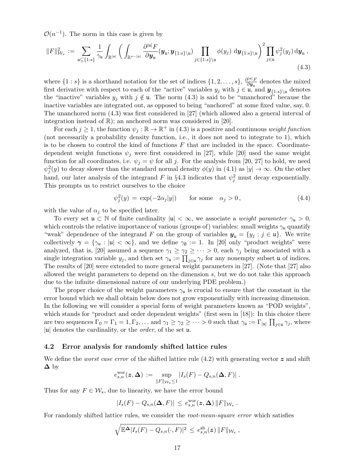$\mathcal{O}(n^{-1})$ . The norm in this case is given by

$$
||F||_{\mathcal{W}_s}^2 := \sum_{\mathfrak{u} \subseteq \{1:s\}} \frac{1}{\gamma_{\mathfrak{u}}} \int_{\mathbb{R}^{|\mathfrak{u}|}} \left( \int_{\mathbb{R}^{s-|\mathfrak{u}|}} \frac{\partial^{|\mathfrak{u}|} F}{\partial \mathbf{y}_{\mathfrak{u}}} (\mathbf{y}_{\mathfrak{u}}; \mathbf{y}_{\{1:s\}\setminus\mathfrak{u}}) \prod_{j \in \{1:s\}\setminus\mathfrak{u}} \phi(y_j) \, \mathrm{d}\mathbf{y}_{\{1:s\}\setminus\mathfrak{u}} \right)^2 \prod_{j \in \mathfrak{u}} \psi_j^2(y_j) \, \mathrm{d}\mathbf{y}_{\mathfrak{u}} \,,
$$
\n(4.3)

where  $\{1:s\}$  is a shorthand notation for the set of indices  $\{1,2,\ldots,s\}$ ,  $\frac{\partial^{|u|}F}{\partial y_u}$  $\frac{\partial \mathbf{u}_i}{\partial \mathbf{y}_u}$  denotes the mixed first derivative with respect to each of the "active" variables  $y_j$  with  $j \in \mathfrak{u}$ , and  $y_{\{1:s\}\setminus\mathfrak{u}}$  denotes the "inactive" variables  $y_j$  with  $j \notin \mathfrak{u}$ . The norm  $(4.3)$  is said to be "unanchored" because the inactive variables are integrated out, as opposed to being "anchored" at some fixed value, say, 0. The unanchored norm (4.3) was first considered in [27] (which allowed also a general interval of integration instead of  $\mathbb{R}$ ); an anchored norm was considered in [20].

For each  $j \geq 1$ , the function  $\psi_j : \mathbb{R} \to \mathbb{R}^+$  in (4.3) is a positive and continuous *weight function* (not necessarily a probability density function, i.e., it does not need to integrate to 1), which is to be chosen to control the kind of functions  $F$  that are included in the space. Coordinatedependent weight functions  $\psi_j$  were first considered in [27], while [20] used the same weight function for all coordinates, i.e.  $\psi_j = \psi$  for all j. For the analysis from [20, 27] to hold, we need  $\psi_j^2(y)$  to decay slower than the standard normal density  $\phi(y)$  in (4.1) as  $|y| \to \infty$ . On the other hand, our later analysis of the integrand  $F$  in §4.3 indicates that  $\psi_j^2$  must decay exponentially. This prompts us to restrict ourselves to the choice

$$
\psi_j^2(y) = \exp(-2\alpha_j|y|) \qquad \text{for some} \quad \alpha_j > 0, \tag{4.4}
$$

with the value of  $\alpha_i$  to be specified later.

To every set  $\mathfrak{u} \subset \mathbb{N}$  of finite cardinality  $|\mathfrak{u}| < \infty$ , we associate a *weight parameter*  $\gamma_{\mathfrak{u}} > 0$ , which controls the relative importance of various (groups of) variables: small weights  $\gamma_u$  quantify "weak" dependence of the integrand F on the group of variables  $y_u = \{y_j : j \in \mathfrak{u}\}\$ . We write collectively  $\gamma = {\gamma_{\mathfrak{u}} : |{\mathfrak{u}}| < \infty}$ , and we define  $\gamma_{\emptyset} := 1$ . In [20] only "product weights" were analyzed, that is, [20] assumed a sequence  $\gamma_1 \geq \gamma_2 \geq \cdots > 0$ , each  $\gamma_j$  being associated with a single integration variable  $y_j$ , and then set  $\gamma_u := \prod_{j \in u} \gamma_j$  for any nonempty subset u of indices. The results of [20] were extended to more general weight parameters in [27]. (Note that [27] also allowed the weight parameters to depend on the dimension  $s$ , but we do not take this approach due to the infinite dimensional nature of our underlying PDE problem.)

The proper choice of the weight parameters  $\gamma_{\mu}$  is crucial to ensure that the constant in the error bound which we shall obtain below does not grow exponentially with increasing dimension. In the following we will consider a special form of weight parameters known as "POD weights", which stands for "product and order dependent weights" (first seen in [18]): In this choice there are two sequences  $\Gamma_0 = \Gamma_1 = 1, \Gamma_2, \dots$  and  $\gamma_1 \geq \gamma_2 \geq \dots > 0$  such that  $\gamma_{\mathfrak{u}} := \Gamma_{|\mathfrak{u}|} \prod_{j \in \mathfrak{u}} \gamma_j$ , where <sup>|</sup>u<sup>|</sup> denotes the cardinality, or the *order*, of the set <sup>u</sup>.

#### 4.2 Error analysis for randomly shifted lattice rules

We define the *worst case error* of the shifted lattice rule  $(4.2)$  with generating vector z and shift  $\Delta$  by

$$
\zeta_{s,n}^{\text{wor}}(\boldsymbol{z},\boldsymbol{\Delta}) := \sup_{\|F\|_{\mathcal{W}_s}\leq 1} |I_s(F) - Q_{s,n}(\boldsymbol{\Delta}, F)|.
$$

Thus for any  $F \in \mathcal{W}_s$ , due to linearity, we have the error bound

 $\epsilon$ 

$$
|I_s(F) - Q_{s,n}(\Delta, F)| \leq e_{s,n}^{\text{wor}}(z, \Delta) ||F||_{\mathcal{W}_s}.
$$

For randomly shifted lattice rules, we consider the *root-mean-square error* which satisfies

$$
\sqrt{\mathbb{E}^{\mathbf{\Delta}}|I_s(F)-Q_{s,n}(\cdot,F)|^2} \,\leq\, e_{s,n}^{\operatorname{sh}}(\boldsymbol{z})\,\|F\|_{\mathcal{W}_s} \;,
$$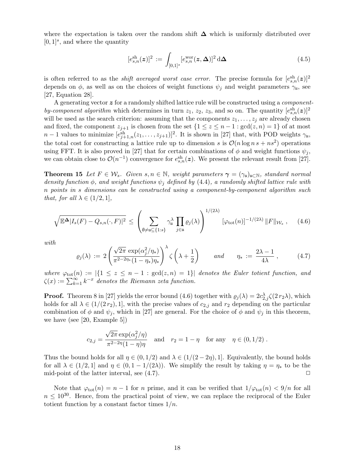where the expectation is taken over the random shift  $\Delta$  which is uniformly distributed over  $[0, 1]^s$ , and where the quantity

$$
[e_{s,n}^{\text{sh}}(\boldsymbol{z})]^2 := \int_{[0,1]^s} [e_{s,n}^{\text{wor}}(\boldsymbol{z}, \boldsymbol{\Delta})]^2 \, d\boldsymbol{\Delta} \tag{4.5}
$$

is often referred to as the *shift averaged worst case error*. The precise formula for  $[e_{s,n}^{\text{sh}}(z)]^2$ depends on  $\phi$ , as well as on the choices of weight functions  $\psi_j$  and weight parameters  $\gamma_{\mu}$ , see [27, Equation 28].

A generating vector z for a randomly shifted lattice rule will be constructed using a *component*by-component algorithm which determines in turn  $z_1$ ,  $z_2$ ,  $z_3$ , and so on. The quantity  $[e_{s,n}^{\text{sh}}(z)]^2$ will be used as the search criterion: assuming that the components  $z_1, \ldots, z_j$  are already chosen and fixed, the component  $z_{j+1}$  is chosen from the set  $\{1 \leq z \leq n-1 : \gcd(z, n) = 1\}$  of at most  $n-1$  values to minimize  $[e_{j+1,n}^{sh}(z_1,\ldots,z_{j+1})]^2$ . It is shown in [27] that, with POD weights  $\gamma_{\mathfrak{u}},$ the total cost for constructing a lattice rule up to dimension s is  $\mathcal{O}(n \log n s + ns^2)$  operations using FFT. It is also proved in [27] that for certain combinations of  $\phi$  and weight functions  $\psi_i$ , we can obtain close to  $\mathcal{O}(n^{-1})$  convergence for  $e_{s,n}^{\text{sh}}(z)$ . We present the relevant result from [27].

**Theorem 15** Let  $F \in \mathcal{W}_s$ . Given  $s, n \in \mathbb{N}$ , weight parameters  $\gamma = (\gamma_u)_{u \in \mathbb{N}}$ , standard normal *density function*  $\phi$ *, and weight functions*  $\psi_j$  *defined by* (4.4)*, a randomly shifted lattice rule with* n *points in* s *dimensions can be constructed using a component-by-component algorithm such that, for all*  $\lambda \in (1/2, 1]$ *,* 

$$
\sqrt{\mathbb{E}^{\Delta} |I_s(F) - Q_{s,n}(\cdot, F)|^2} \leq \left(\sum_{\emptyset \neq \mathfrak{u} \subseteq \{1:s\}} \gamma_\mathfrak{u}^\lambda \prod_{j \in \mathfrak{u}} \varrho_j(\lambda)\right)^{1/(2\lambda)} [\varphi_{\text{tot}}(n)]^{-1/(2\lambda)} \|F\|_{\mathcal{W}_s}, \quad (4.6)
$$

*with*

$$
\varrho_j(\lambda) := 2 \left( \frac{\sqrt{2\pi} \exp(\alpha_j^2/\eta_*)}{\pi^{2-2\eta_*} (1-\eta_*)\eta_*} \right)^{\lambda} \zeta\left(\lambda + \frac{1}{2}\right) \quad \text{and} \quad \eta_* := \frac{2\lambda - 1}{4\lambda} \,, \tag{4.7}
$$

*where*  $\varphi_{\text{tot}}(n) := |\{1 \leq z \leq n-1 : \text{gcd}(z,n) = 1\}|$  *denotes the Euler totient function, and*  $\zeta(x) := \sum_{k=1}^{\infty} k^{-x}$  denotes the Riemann zeta function.

**Proof.** Theorem 8 in [27] yields the error bound (4.6) together with  $\varrho_j(\lambda) = 2c_{2,j}^{\lambda} \zeta(2 r_2 \lambda)$ , which holds for all  $\lambda \in (1/(2r_2), 1]$ , with the precise values of  $c_{2,i}$  and  $r_2$  depending on the particular combination of  $\phi$  and  $\psi_j$ , which in [27] are general. For the choice of  $\phi$  and  $\psi_j$  in this theorem, we have (see [20, Example 5])

$$
c_{2,j} = \frac{\sqrt{2\pi} \exp(\alpha_j^2/\eta)}{\pi^{2-2\eta}(1-\eta)\eta} \quad \text{and} \quad r_2 = 1-\eta \quad \text{for any} \quad \eta \in (0,1/2) .
$$

Thus the bound holds for all  $\eta \in (0, 1/2)$  and  $\lambda \in (1/(2-2\eta), 1]$ . Equivalently, the bound holds for all  $\lambda \in (1/2, 1]$  and  $\eta \in (0, 1 - 1/(2\lambda))$ . We simplify the result by taking  $\eta = \eta_*$  to be the mid-point of the latter interval, see (4.7). mid-point of the latter interval, see  $(4.7)$ .

Note that  $\varphi_{\text{tot}}(n) = n - 1$  for n prime, and it can be verified that  $1/\varphi_{\text{tot}}(n) < 9/n$  for all  $n \leq 10^{30}$ . Hence, from the practical point of view, we can replace the reciprocal of the Euler totient function by a constant factor times  $1/n$ .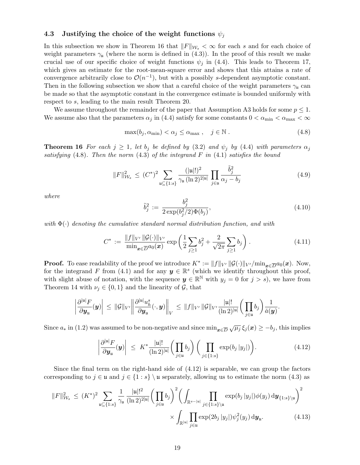#### 4.3 Justifying the choice of the weight functions  $\psi_i$

In this subsection we show in Theorem 16 that  $||F||_{W_s} < \infty$  for each s and for each choice of weight parameters  $\gamma_{\mu}$  (where the norm is defined in (4.3)). In the proof of this result we make crucial use of our specific choice of weight functions  $\psi_i$  in (4.4). This leads to Theorem 17, which gives an estimate for the root-mean-square error and shows that this attains a rate of convergence arbitrarily close to  $\mathcal{O}(n^{-1})$ , but with a possibly s-dependent asymptotic constant. Then in the following subsection we show that a careful choice of the weight parameters  $\gamma_{\mu}$  can be made so that the asymptotic constant in the convergence estimate is bounded uniformly with respect to s, leading to the main result Theorem 20.

We assume throughout the remainder of the paper that Assumption A3 holds for some  $p \leq 1$ . We assume also that the parameters  $\alpha_j$  in (4.4) satisfy for some constants  $0 < \alpha_{\min} < \alpha_{\max} < \infty$ 

$$
\max(b_j, \alpha_{\min}) < \alpha_j \le \alpha_{\max} \,, \quad j \in \mathbb{N} \,. \tag{4.8}
$$

**Theorem 16** For each  $j \geq 1$ , let  $b_j$  be defined by (3.2) and  $\psi_j$  by (4.4) with parameters  $\alpha_j$ *satisfying* (4.8)*. Then the norm* (4.3) *of the integrand* F *in* (4.1) *satisfies the bound*

$$
||F||_{\mathcal{W}_s}^2 \le (C^*)^2 \sum_{\mathfrak{u} \subseteq \{1:s\}} \frac{(|\mathfrak{u}|!)^2}{\gamma_{\mathfrak{u}} \, (\ln 2)^{2|\mathfrak{u}|}} \prod_{j \in \mathfrak{u}} \frac{\tilde{b}_j^2}{\alpha_j - b_j}
$$
(4.9)

*where*

$$
\tilde{b}_j^2 := \frac{b_j^2}{2 \exp(b_j^2/2) \Phi(b_j)},\tag{4.10}
$$

*with* Φ(·) *denoting the cumulative standard normal distribution function, and with*

$$
C^* := \frac{\|f\|_{V'} \|\mathcal{G}(\cdot)\|_{V'}}{\min_{\mathbf{x}\in \overline{D}} a_0(\mathbf{x})} \exp\left(\frac{1}{2} \sum_{j\geq 1} b_j^2 + \frac{2}{\sqrt{2\pi}} \sum_{j\geq 1} b_j\right). \tag{4.11}
$$

**Proof.** To ease readability of the proof we introduce  $K^* := ||f||_{V'} ||\mathcal{G}(\cdot)||_{V'}/\min_{\mathbf{x} \in \overline{D}} a_0(\mathbf{x})$ . Now, for the integrand F from (4.1) and for any  $y \in \mathbb{R}^s$  (which we identify throughout this proof, with slight abuse of notation, with the sequence  $y \in \mathbb{R}^N$  with  $y_j = 0$  for  $j > s$ ), we have from Theorem 14 with  $\nu_j \in \{0,1\}$  and the linearity of  $\mathcal{G}$ , that

$$
\left|\frac{\partial^{|{\mathfrak{u}}|}F}{\partial {\boldsymbol{y}}_{{\mathfrak{u}}}}({\boldsymbol{y}})\right|\,\leq\, \|\mathcal G\|_{V'}\bigg\|\frac{\partial^{|{\mathfrak{u}}|}u_h^s}{\partial {\boldsymbol{y}}_{{\mathfrak{u}}}}(\cdot,{\boldsymbol{y}})\bigg\|_V\,\leq\, \|f\|_{V'}\, \|\mathcal G\|_{V'}\frac{|{\mathfrak{u}}|!}{(\ln 2)^{|{\mathfrak{u}}|}}\bigg(\prod_{j\in {\mathfrak{u}}}b_j\bigg)\frac{1}{\check a({\boldsymbol{y}})}.
$$

Since  $a_*$  in (1.2) was assumed to be non-negative and since  $\min_{\bm{x} \in \overline{D}} \sqrt{\mu_j} \xi_j(\bm{x}) \ge -b_j$ , this implies

$$
\left|\frac{\partial^{\left|u\right|}F}{\partial y_{u}}(y)\right| \leq K^{*} \frac{|u|!}{(\ln 2)^{\left|u\right|}} \bigg(\prod_{j\in u} b_{j}\bigg) \bigg(\prod_{j\in\{1:s\}} \exp(b_{j} |y_{j}|)\bigg).
$$
\n(4.12)

Since the final term on the right-hand side of  $(4.12)$  is separable, we can group the factors corresponding to  $j \in \mathfrak{u}$  and  $j \in \{1 : s\} \mathfrak{u}$  separately, allowing us to estimate the norm (4.3) as

$$
||F||_{\mathcal{W}_s}^2 \le (K^*)^2 \sum_{\mathfrak{u} \subseteq \{1:s\}} \frac{1}{\gamma_{\mathfrak{u}}} \frac{|\mathfrak{u}|!^2}{(\ln 2)^{2|\mathfrak{u}|}} \bigg(\prod_{j \in \mathfrak{u}} b_j\bigg)^2 \bigg(\int_{\mathbb{R}^{s-|\mathfrak{u}|}} \prod_{j \in \{1:s\}\setminus\mathfrak{u}} \exp(b_j|y_j|) \phi(y_j) \,d\mathbf{y}_{\{1:s\}\setminus\mathfrak{u}}\bigg)^2 \times \int_{\mathbb{R}^{|\mathfrak{u}|}} \prod_{j \in \mathfrak{u}} \exp(2b_j|y_j|) \psi_j^2(y_j) \,d\mathbf{y}_{\mathfrak{u}}.\n\tag{4.13}
$$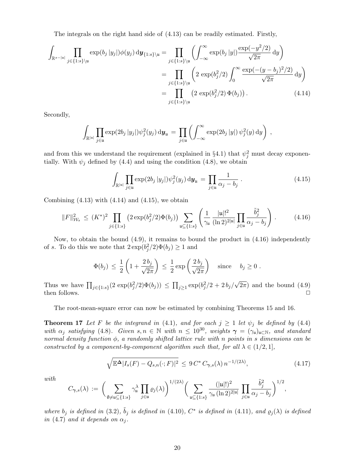The integrals on the right hand side of (4.13) can be readily estimated. Firstly,

$$
\int_{\mathbb{R}^{s-|u|}} \prod_{j \in \{1:s\}\backslash u} \exp(b_j |y_j|) \phi(y_j) \, \mathrm{d}\mathbf{y}_{\{1:s\}\backslash u} = \prod_{j \in \{1:s\}\backslash u} \left( \int_{-\infty}^{\infty} \exp(b_j |y|) \frac{\exp(-y^2/2)}{\sqrt{2\pi}} \, \mathrm{d}y \right)
$$
\n
$$
= \prod_{j \in \{1:s\}\backslash u} \left( 2 \exp(b_j^2/2) \int_0^{\infty} \frac{\exp(-(y-b_j)^2/2)}{\sqrt{2\pi}} \, \mathrm{d}y \right)
$$
\n
$$
= \prod_{j \in \{1:s\}\backslash u} \left( 2 \exp(b_j^2/2) \Phi(b_j) \right). \tag{4.14}
$$

Secondly,

$$
\int_{\mathbb{R}^{|u|}} \prod_{j\in u} \exp(2b_j |y_j|) \psi_j^2(y_j) \, \mathrm{d}\mathbf{y}_u = \prod_{j\in u} \left( \int_{-\infty}^{\infty} \exp(2b_j |y|) \psi_j^2(y) \, \mathrm{d}y \right) ,
$$

and from this we understand the requirement (explained in §4.1) that  $\psi_j^2$  must decay exponentially. With  $\psi_j$  defined by (4.4) and using the condition (4.8), we obtain

$$
\int_{\mathbb{R}^{|u|}} \prod_{j \in u} \exp(2b_j |y_j|) \psi_j^2(y_j) \, \mathrm{d}\mathbf{y}_u = \prod_{j \in u} \frac{1}{\alpha_j - b_j} \,. \tag{4.15}
$$

Combining  $(4.13)$  with  $(4.14)$  and  $(4.15)$ , we obtain

$$
||F||_{\mathcal{W}_s}^2 \le (K^*)^2 \prod_{j \in \{1:s\}} \left(2 \exp(b_j^2/2) \Phi(b_j)\right) \sum_{\mathfrak{u} \subseteq \{1:s\}} \left(\frac{1}{\gamma_{\mathfrak{u}}} \frac{|\mathfrak{u}|!^2}{(\ln 2)^{2|\mathfrak{u}|}} \prod_{j \in \mathfrak{u}} \frac{\tilde{b}_j^2}{\alpha_j - b_j}\right). \tag{4.16}
$$

Now, to obtain the bound  $(4.9)$ , it remains to bound the product in  $(4.16)$  independently of s. To do this we note that  $2 \exp(b_j^2/2)\Phi(b_j) \ge 1$  and

$$
\Phi(b_j) \leq \frac{1}{2} \left( 1 + \frac{2b_j}{\sqrt{2\pi}} \right) \leq \frac{1}{2} \exp\left(\frac{2b_j}{\sqrt{2\pi}}\right) \quad \text{since} \quad b_j \geq 0 \; .
$$

Thus we have  $\prod_{j\in\{1:s\}}(2 \exp(b_j^2/2)\Phi(b_j)) \leq \prod_{j\geq 1} \exp(b_j^2/2 + 2b_j/\sqrt{2\pi})$  and the bound (4.9) then follows.  $\Box$ 

The root-mean-square error can now be estimated by combining Theorems 15 and 16.

**Theorem 17** Let F be the integrand in (4.1), and for each  $j \ge 1$  let  $\psi_j$  be defined by (4.4) *with*  $\alpha_j$  *satisfying* (4.8)*.* Given  $s, n \in \mathbb{N}$  *with*  $n \leq 10^{30}$ *, weights*  $\gamma = (\gamma_u)_{u \in \mathbb{N}}$ *, and standard normal density function* φ*, a randomly shifted lattice rule with* n *points in* s *dimensions can be constructed by a component-by-component algorithm such that, for all*  $\lambda \in (1/2, 1]$ *,* 

$$
\sqrt{\mathbb{E}^{\mathbf{\Delta}}|I_s(F) - Q_{s,n}(\cdot;F)|^2} \le 9 C^* C_{\gamma,s}(\lambda) n^{-1/(2\lambda)},\tag{4.17}
$$

*with*

$$
C_{\gamma,s}(\lambda) \,:=\, \bigg(\sum_{\emptyset \neq \mathfrak{u}\subseteq \{1:s\}} \gamma^\lambda_\mathfrak{u}\, \prod_{j\in \mathfrak{u}}\varrho_j(\lambda)\bigg)^{1/(2\lambda)} \bigg(\sum_{\mathfrak{u}\subseteq \{1:s\}} \frac{(|\mathfrak{u}|!)^2}{\gamma_\mathfrak{u}\, (\ln 2)^{2|\mathfrak{u}|}}\, \prod_{j\in \mathfrak{u}} \frac{\tilde{b}_j^2}{\alpha_j-b_j}\bigg)^{1/2},
$$

where  $b_j$  *is defined in* (3.2),  $\tilde{b}_j$  *is defined in* (4.10),  $C^*$  *is defined in* (4.11), and  $\varrho_j(\lambda)$  *is defined in* (4.7) *and it depends on*  $\alpha_i$ *.*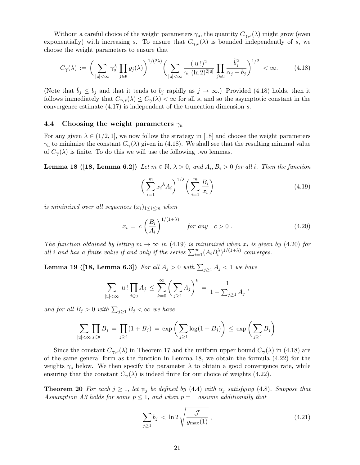Without a careful choice of the weight parameters  $\gamma_{\mu}$ , the quantity  $C_{\gamma,s}(\lambda)$  might grow (even exponentially) with increasing s. To ensure that  $C_{\gamma,s}(\lambda)$  is bounded independently of s, we choose the weight parameters to ensure that

$$
C_{\gamma}(\lambda) := \bigg(\sum_{|{\mathfrak{u}}|<\infty} \gamma_{\mathfrak{u}}^{\lambda} \prod_{j\in{\mathfrak{u}}} \varrho_j(\lambda)\bigg)^{1/(2\lambda)} \bigg(\sum_{|{\mathfrak{u}}|<\infty} \frac{(|{\mathfrak{u}}|!)^2}{\gamma_{\mathfrak{u}}\left(\ln 2\right)^{2|{\mathfrak{u}}|}} \prod_{j\in{\mathfrak{u}}} \frac{\tilde{b}_j^2}{\alpha_j - b_j}\bigg)^{1/2} < \infty. \tag{4.18}
$$

(Note that  $b_j \leq b_j$  and that it tends to  $b_j$  rapidly as  $j \to \infty$ .) Provided (4.18) holds, then it follows immediately that  $C_{\gamma,s}(\lambda) \leq C_{\gamma}(\lambda) < \infty$  for all s, and so the asymptotic constant in the convergence estimate (4.17) is independent of the truncation dimension s.

#### 4.4 Choosing the weight parameters  $\gamma_{\mu}$

For any given  $\lambda \in (1/2, 1]$ , we now follow the strategy in [18] and choose the weight parameters  $\gamma_{\mu}$  to minimize the constant  $C_{\gamma}(\lambda)$  given in (4.18). We shall see that the resulting minimal value of  $C_{\gamma}(\lambda)$  is finite. To do this we will use the following two lemmas.

**Lemma 18** ([18, Lemma 6.2]) *Let*  $m \in \mathbb{N}$ ,  $\lambda > 0$ , and  $A_i, B_i > 0$  for all i. Then the function

$$
\left(\sum_{i=1}^{m} x_i^{\lambda} A_i\right)^{1/\lambda} \left(\sum_{i=1}^{m} \frac{B_i}{x_i}\right) \tag{4.19}
$$

*is minimized over all sequences*  $(x_i)_{1 \leq i \leq m}$  *when* 

$$
x_i = c \left(\frac{B_i}{A_i}\right)^{1/(1+\lambda)} \quad \text{for any} \quad c > 0 \,. \tag{4.20}
$$

*The function obtained by letting*  $m \to \infty$  *in* (4.19) *is minimized when*  $x_i$  *is given by* (4.20) *for all i* and has a finite value if and only if the series  $\sum_{i=1}^{\infty} (A_i B_i^{\lambda})^{1/(1+\lambda)}$  converges.

**Lemma 19 ([18, Lemma 6.3])** For all  $A_j > 0$  with  $\sum_{j \geq 1} A_j < 1$  we have

$$
\sum_{|{\mathfrak{u}}| < \infty} |{\mathfrak{u}}|! \prod_{j \in {\mathfrak{u}}} A_j \le \sum_{k=0}^{\infty} \left( \sum_{j \ge 1} A_j \right)^k = \frac{1}{1 - \sum_{j \ge 1} A_j} ,
$$

*and for all*  $B_j > 0$  *with*  $\sum_{j \geq 1} B_j < \infty$  *we have* 

$$
\sum_{|u| < \infty} \prod_{j \in u} B_j = \prod_{j \ge 1} (1 + B_j) = \exp\left(\sum_{j \ge 1} \log(1 + B_j)\right) \le \exp\left(\sum_{j \ge 1} B_j\right)
$$

Since the constant  $C_{\gamma,s}(\lambda)$  in Theorem 17 and the uniform upper bound  $C_{\gamma}(\lambda)$  in (4.18) are of the same general form as the function in Lemma 18, we obtain the formula (4.22) for the weights  $\gamma_{\mu}$  below. We then specify the parameter  $\lambda$  to obtain a good convergence rate, while ensuring that the constant  $C_{\gamma}(\lambda)$  is indeed finite for our choice of weights (4.22).

**Theorem 20** For each  $j \geq 1$ , let  $\psi_j$  be defined by (4.4) with  $\alpha_j$  satisfying (4.8). Suppose that *Assumption A3 holds for some*  $p \leq 1$ *, and when*  $p = 1$  *assume additionally that* 

$$
\sum_{j\geq 1} b_j < \ln 2 \sqrt{\frac{\mathcal{J}}{\varrho_{\text{max}}(1)}},\tag{4.21}
$$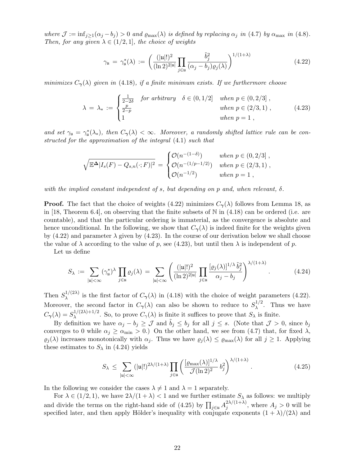*where*  $\mathcal{J} := \inf_{j \geq 1} (\alpha_j - b_j) > 0$  *and*  $\varrho_{\text{max}}(\lambda)$  *is defined by replacing*  $\alpha_j$  *in* (4.7) *by*  $\alpha_{\text{max}}$  *in* (4.8)*. Then, for any given*  $\lambda \in (1/2, 1]$ *, the choice of weights* 

$$
\gamma_{\mathfrak{u}} = \gamma_{\mathfrak{u}}^*(\lambda) := \left( \frac{(|\mathfrak{u}|!)^2}{(\ln 2)^{2|\mathfrak{u}|}} \prod_{j \in \mathfrak{u}} \frac{\tilde{b}_j^2}{(\alpha_j - b_j) \varrho_j(\lambda)} \right)^{1/(1+\lambda)}
$$
(4.22)

*minimizes*  $C_{\gamma}(\lambda)$  *given in* (4.18)*, if a finite minimum exists. If we furthermore choose* 

$$
\lambda = \lambda_* := \begin{cases} \frac{1}{2-2\delta} & \text{for arbitrary} \quad \delta \in (0, 1/2] & \text{when } p \in (0, 2/3], \\ \frac{p}{2-p} & \text{when } p \in (2/3, 1), \\ 1 & \text{when } p = 1, \end{cases}
$$
(4.23)

and set  $\gamma_{\mathfrak{u}} = \gamma_{\mathfrak{u}}^*(\lambda_*)$ , then  $C_{\gamma}(\lambda) < \infty$ . Moreover, a randomly shifted lattice rule can be con*structed for the approximation of the integral* (4.1) *such that*

$$
\sqrt{\mathbb{E}^{\Delta} |I_s(F) - Q_{s,n}(\cdot;F)|^2} = \begin{cases} \mathcal{O}(n^{-(1-\delta)}) & \text{when } p \in (0,2/3], \\ \mathcal{O}(n^{-(1/p-1/2)}) & \text{when } p \in (2/3,1), \\ \mathcal{O}(n^{-1/2}) & \text{when } p = 1, \end{cases}
$$

*with the implied constant independent of* s*, but depending on* p *and, when relevant,* δ*.*

**Proof.** The fact that the choice of weights (4.22) minimizes  $C_{\gamma}(\lambda)$  follows from Lemma 18, as in [18, Theorem 6.4], on observing that the finite subsets of  $\mathbb N$  in (4.18) can be ordered (i.e. are countable), and that the particular ordering is immaterial, as the convergence is absolute and hence unconditional. In the following, we show that  $C_{\gamma}(\lambda)$  is indeed finite for the weights given by  $(4.22)$  and parameter  $\lambda$  given by  $(4.23)$ . In the course of our derivation below we shall choose the value of  $\lambda$  according to the value of p, see (4.23), but until then  $\lambda$  is independent of p.

Let us define

$$
S_{\lambda} := \sum_{|\mathfrak{u}| < \infty} (\gamma_{\mathfrak{u}}^*)^{\lambda} \prod_{j \in \mathfrak{u}} \varrho_j(\lambda) = \sum_{|\mathfrak{u}| < \infty} \left( \frac{(|\mathfrak{u}|!)^2}{(\ln 2)^{2|\mathfrak{u}|}} \prod_{j \in \mathfrak{u}} \frac{[\varrho_j(\lambda)]^{1/\lambda} \tilde{b}_j^2}{\alpha_j - b_j} \right)^{\lambda/(1+\lambda)}.
$$
 (4.24)

Then  $S_\lambda^{1/(2\lambda)}$  $\lambda$ <sup>1/(2 $\lambda$ )</sup> is the first factor of  $C_{\gamma}(\lambda)$  in (4.18) with the choice of weight parameters (4.22). Moreover, the second factor in  $C_{\gamma}(\lambda)$  can also be shown to reduce to  $S_{\lambda}^{1/2}$  $\lambda^{1/2}$ . Thus we have  $C_{\boldsymbol{\gamma}}(\lambda) = S_{\lambda}^{1/(2\lambda)+1/2}$  $\lambda^{\frac{1}{2}(\lfloor 2\lambda\rfloor+1/2)}$ . So, to prove  $C_{\gamma}(\lambda)$  is finite it suffices to prove that  $S_{\lambda}$  is finite.

By definition we have  $\alpha_j - b_j \geq \mathcal{J}$  and  $\tilde{b}_j \leq b_j$  for all  $j \leq s$ . (Note that  $\mathcal{J} > 0$ , since  $b_j$ converges to 0 while  $\alpha_j \ge \alpha_{\min} > 0$ .) On the other hand, we see from (4.7) that, for fixed  $\lambda$ ,  $\varrho_j(\lambda)$  increases monotonically with  $\alpha_j$ . Thus we have  $\varrho_j(\lambda) \leq \varrho_{\max}(\lambda)$  for all  $j \geq 1$ . Applying these estimates to  $S_{\lambda}$  in (4.24) yields

$$
S_{\lambda} \leq \sum_{|\mathfrak{u}| < \infty} (|\mathfrak{u}|!)^{2\lambda/(1+\lambda)} \prod_{j \in \mathfrak{u}} \left( \frac{[\varrho_{\max}(\lambda)]^{1/\lambda}}{\mathcal{J}(\ln 2)^2} b_j^2 \right)^{\lambda/(1+\lambda)}.
$$
 (4.25)

In the following we consider the cases  $\lambda \neq 1$  and  $\lambda = 1$  separately.

For  $\lambda \in (1/2, 1)$ , we have  $2\lambda/(1 + \lambda) < 1$  and we further estimate  $S_{\lambda}$  as follows: we multiply and divide the terms on the right-hand side of  $(4.25)$  by  $\prod_{j\in\mathfrak{u}}A_j^{2\lambda/(1+\lambda)}$  $j_j^{2\lambda/(1+\lambda)}$ , where  $A_j > 0$  will be specified later, and then apply Hölder's inequality with conjugate exponents  $(1 + \lambda)/(2\lambda)$  and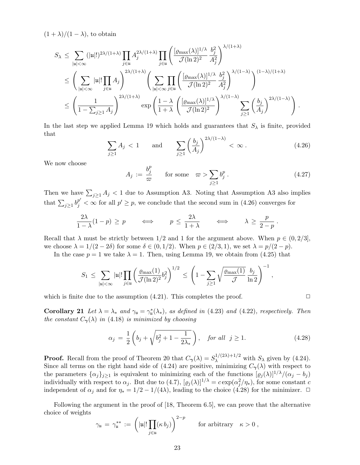$(1 + \lambda)/(1 - \lambda)$ , to obtain

$$
\begin{split} S_{\lambda} & \leq \sum_{|\mathfrak{u}| < \infty} (|\mathfrak{u}|!)^{2\lambda/(1+\lambda)} \prod_{j \in \mathfrak{u}} A_j^{2\lambda/(1+\lambda)} \prod_{j \in \mathfrak{u}} \left( \frac{[\varrho_{\max}(\lambda)]^{1/\lambda}}{\mathcal{J}(\ln 2)^2} \frac{b_j^2}{A_j^2} \right)^{\lambda/(1+\lambda)} \\ & \leq \Bigg( \sum_{|\mathfrak{u}| < \infty} |\mathfrak{u}|! \prod_{j \in \mathfrak{u}} A_j \Bigg)^{2\lambda/(1+\lambda)} \Bigg( \sum_{|\mathfrak{u}| < \infty} \prod_{j \in \mathfrak{u}} \left( \frac{[\varrho_{\max}(\lambda)]^{1/\lambda}}{\mathcal{J}(\ln 2)^2} \frac{b_j^2}{A_j^2} \right)^{\lambda/(1-\lambda)} \Bigg)^{(1-\lambda)/(1+\lambda)} \\ & \leq \Bigg( \frac{1}{1 - \sum_{j \geq 1} A_j} \Bigg)^{2\lambda/(1+\lambda)} \exp \Bigg( \frac{1 - \lambda}{1 + \lambda} \left( \frac{[\varrho_{\max}(\lambda)]^{1/\lambda}}{\mathcal{J}(\ln 2)^2} \right)^{\lambda/(1-\lambda)} \sum_{j \geq 1} \left( \frac{b_j}{A_j} \right)^{2\lambda/(1-\lambda)} \Bigg) \,. \end{split}
$$

In the last step we applied Lemma 19 which holds and guarantees that  $S_\lambda$  is finite, provided that 2λ/(1−λ)

$$
\sum_{j\geq 1} A_j < 1 \qquad \text{and} \qquad \sum_{j\geq 1} \left(\frac{b_j}{A_j}\right)^{2\lambda/(1-\lambda)} < \infty \,. \tag{4.26}
$$

We now choose

$$
A_j := \frac{b_j^p}{\varpi} \qquad \text{for some} \quad \varpi > \sum_{j \ge 1} b_j^p \,. \tag{4.27}
$$

Then we have  $\sum_{j\geq 1} A_j < 1$  due to Assumption A3. Noting that Assumption A3 also implies that  $\sum_{j\geq 1} b_j^{p'} < \infty$  for all  $p' \geq p$ , we conclude that the second sum in (4.26) converges for

$$
\frac{2\lambda}{1-\lambda}(1-p) \ge p \qquad \Longleftrightarrow \qquad p \le \frac{2\lambda}{1+\lambda} \qquad \Longleftrightarrow \qquad \lambda \ge \frac{p}{2-p} \, .
$$

Recall that  $\lambda$  must be strictly between 1/2 and 1 for the argument above. When  $p \in (0, 2/3]$ , we choose  $\lambda = 1/(2 - 2\delta)$  for some  $\delta \in (0, 1/2)$ . When  $p \in (2/3, 1)$ , we set  $\lambda = p/(2 - p)$ .

In the case  $p = 1$  we take  $\lambda = 1$ . Then, using Lemma 19, we obtain from (4.25) that

$$
S_1 \, \leq \, \sum_{|\mathfrak{u}|<\infty} |\mathfrak{u}|!\prod_{j\in\mathfrak{u}}\left(\frac{\varrho_{\max}(1)}{\mathcal{J}(\ln2)^2}b_j^2\right)^{1/2} \, \leq \, \left(1-\sum_{j\geq 1}\sqrt{\frac{\varrho_{\max}(1)}{\mathcal{J}}}\,\frac{b_j}{\ln2}\right)^{-1}\,,
$$

which is finite due to the assumption  $(4.21)$ . This completes the proof.  $\Box$ 

Corollary 21 Let  $\lambda = \lambda_*$  and  $\gamma_{\mathfrak{u}} = \gamma_{\mathfrak{u}}^*(\lambda_*)$ *, as defined in* (4.23) and (4.22)*, respectively. Then the constant*  $C_{\gamma}(\lambda)$  *in* (4.18) *is minimized by choosing* 

$$
\alpha_j = \frac{1}{2} \left( b_j + \sqrt{b_j^2 + 1 - \frac{1}{2\lambda_*}} \right), \quad \text{for all} \quad j \ge 1. \tag{4.28}
$$

**Proof.** Recall from the proof of Theorem 20 that  $C_{\gamma}(\lambda) = S_{\lambda}^{1/(2\lambda)+1/2}$  with  $S_{\lambda}$  given by (4.24). Since all terms on the right hand side of (4.24) are positive, minimizing  $C_{\gamma}(\lambda)$  with respect to the parameters  $\{\alpha_j\}_{j\geq 1}$  is equivalent to minimizing each of the functions  $[\varrho_j(\lambda)]^{1/\lambda}/(\alpha_j - b_j)$ individually with respect to  $\alpha_j$ . But due to  $(4.7)$ ,  $[\varrho_j(\lambda)]^{1/\lambda} = c \exp(\alpha_j^2/\eta_*)$ , for some constant c independent of  $\alpha_j$  and for  $\eta_* = 1/2 - 1/(4\lambda)$ , leading to the choice (4.28) for the minimizer.  $\Box$ 

Following the argument in the proof of [18, Theorem 6.5], we can prove that the alternative choice of weights

$$
\gamma_{\mathfrak{u}} = \gamma_{\mathfrak{u}}^{**} := \left( |\mathfrak{u}|! \prod_{j \in \mathfrak{u}} (\kappa \, b_j) \right)^{2-p} \qquad \text{for arbitrary} \quad \kappa > 0 ,
$$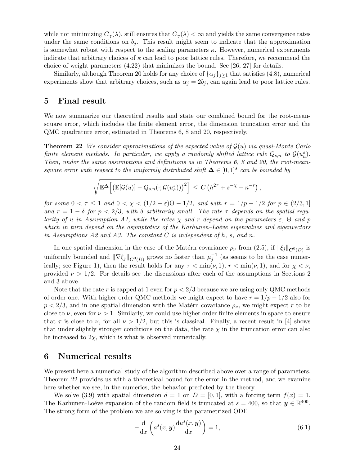while not minimizing  $C_{\gamma}(\lambda)$ , still ensures that  $C_{\gamma}(\lambda) < \infty$  and yields the same convergence rates under the same conditions on  $b_i$ . This result might seem to indicate that the approximation is somewhat robust with respect to the scaling parameters  $\kappa$ . However, numerical experiments indicate that arbitrary choices of  $\kappa$  can lead to poor lattice rules. Therefore, we recommend the choice of weight parameters (4.22) that minimizes the bound. See [26, 27] for details.

Similarly, although Theorem 20 holds for any choice of  $\{\alpha_j\}_{j\geq 1}$  that satisfies (4.8), numerical experiments show that arbitrary choices, such as  $\alpha_j = 2b_j$ , can again lead to poor lattice rules.

## 5 Final result

We now summarize our theoretical results and state our combined bound for the root-meansquare error, which includes the finite element error, the dimension truncation error and the QMC quadrature error, estimated in Theorems 6, 8 and 20, respectively.

Theorem 22 *We consider approximations of the expected value of* G(u) *via quasi-Monte Carlo finite element methods. In particular, we apply a randomly shifted lattice rule*  $Q_{s,n}$  to  $\mathcal{G}(u_h^s)$ . *Then, under the same assumptions and definitions as in Theorems 6, 8 and 20, the root-meansquare error with respect to the uniformly distributed shift*  $\Delta \in [0,1]^s$  can be bounded by

$$
\sqrt{\mathbb{E}^{\mathbf{\Delta}}\Big[\big(\mathbb{E}[\mathcal{G}(u)] - Q_{s,n}(\cdot;\mathcal{G}(u_h^s))\big)^2\Big]} \ \leq \ C\left(h^{2\tau} + s^{-\chi} + n^{-r}\right),
$$

*for some*  $0 < \tau \leq 1$  *and*  $0 < \chi < (1/2 - \varepsilon)\Theta - 1/2$ *, and with*  $r = 1/p - 1/2$  *for*  $p \in (2/3, 1]$ and  $r = 1 - \delta$  for  $p < 2/3$ , with  $\delta$  arbitrarily small. The rate  $\tau$  depends on the spatial regu*larity of u in Assumption A1, while the rates*  $\chi$  *and*  $r$  *depend on the parameters*  $\varepsilon$ ,  $\Theta$  *and*  $p$ *which in turn depend on the asymptotics of the Karhunen–Loève eigenvalues and eigenvectors in Assumptions A2 and A3. The constant* C *is independent of* h*,* s*, and* n*.*

In one spatial dimension in the case of the Matérn covariance  $\rho_\nu$  from (2.5), if  $\|\xi_j\|_{\mathbf{C}^0(\overline{D})}$  is uniformly bounded and  $\|\nabla \xi_j\|_{\mathbf{C}^0(\overline{D})}$  grows no faster than  $\mu_j^{-1}$  (as seems to be the case numerically; see Figure 1), then the result holds for any  $\tau < \min(\nu, 1)$ ,  $r < \min(\nu, 1)$ , and for  $\chi < \nu$ , provided  $\nu > 1/2$ . For details see the discussions after each of the assumptions in Sections 2 and 3 above.

Note that the rate r is capped at 1 even for  $p < 2/3$  because we are using only QMC methods of order one. With higher order QMC methods we might expect to have  $r = 1/p - 1/2$  also for  $p < 2/3$ , and in one spatial dimension with the Matérn covariance  $\rho_{\nu}$ , we might expect r to be close to  $\nu$ , even for  $\nu > 1$ . Similarly, we could use higher order finite elements in space to ensure that  $\tau$  is close to  $\nu$ , for all  $\nu > 1/2$ , but this is classical. Finally, a recent result in [4] shows that under slightly stronger conditions on the data, the rate  $\chi$  in the truncation error can also be increased to  $2\chi$ , which is what is observed numerically.

# 6 Numerical results

We present here a numerical study of the algorithm described above over a range of parameters. Theorem 22 provides us with a theoretical bound for the error in the method, and we examine here whether we see, in the numerics, the behavior predicted by the theory.

We solve (3.9) with spatial dimension  $d = 1$  on  $D = [0, 1]$ , with a forcing term  $f(x) = 1$ . The Karhunen-Loéve expansion of the random field is truncated at  $s = 400$ , so that  $y \in \mathbb{R}^{400}$ . The strong form of the problem we are solving is the parametrized ODE

$$
-\frac{\mathrm{d}}{\mathrm{d}x}\left(a^s(x,\mathbf{y})\frac{\mathrm{d}u^s(x,\mathbf{y})}{\mathrm{d}x}\right) = 1,\tag{6.1}
$$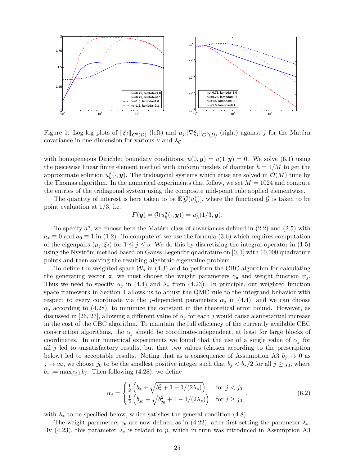

Figure 1: Log-log plots of  $\|\xi_j\|_{\mathbf{C}^0(\overline{D})}$  (left) and  $\mu_j\|\nabla \xi_j\|_{\mathbf{C}^0(\overline{D})}$  (right) against  $j$  for the Matérn covariance in one dimension for various  $\nu$  and  $\lambda_c$ 

with homogeneous Dirichlet boundary conditions,  $u(0, y) = u(1, y) = 0$ . We solve (6.1) using the piecewise linear finite element method with uniform meshes of diameter  $h = 1/M$  to get the approximate solution  $u_h^s(\cdot, y)$ . The tridiagonal systems which arise are solved in  $\mathcal{O}(M)$  time by the Thomas algorithm. In the numerical experiments that follow, we set  $M = 1024$  and compute the entries of the tridiagonal system using the composite mid-point rule applied elementwise.

The quantity of interest is here taken to be  $\mathbb{E}[\mathcal{G}(u_h^s)]$ , where the functional  $\mathcal{G}$  is taken to be point evaluation at 1/3, i.e.

$$
F(\mathbf{y}) = \mathcal{G}(u_h^s(\cdot,\mathbf{y})) = u_h^s(1/3,\mathbf{y}).
$$

To specify  $a^s$ , we choose here the Matérn class of covariances defined in  $(2.2)$  and  $(2.5)$  with  $a_* \equiv 0$  and  $a_0 \equiv 1$  in (1.2). To compute  $a^s$  we use the formula (3.6) which requires computation of the eigenpairs  $(\mu_j, \xi_j)$  for  $1 \leq j \leq s$ . We do this by discretizing the integral operator in (1.5) using the Nyström method based on Gauss-Legendre quadrature on  $[0, 1]$  with 10,000 quadrature points and then solving the resulting algebraic eigenvalue problem.

To define the weighted space  $\mathcal{W}_s$  in (4.3) and to perform the CBC algorithm for calculating the generating vector z, we must choose the weight parameters  $\gamma_u$  and weight function  $\psi_i$ . Thus we need to specify  $\alpha_i$  in (4.4) and  $\lambda_*$  from (4.23). In principle, our weighted function space framework in Section 4 allows us to adjust the QMC rule to the integrand behavior with respect to every coordinate via the j-dependent parameters  $\alpha_j$  in (4.4), and we can choose  $\alpha_i$  according to (4.28), to minimize the constant in the theoretical error bound. However, as discussed in [26, 27], allowing a different value of  $\alpha_j$  for each j would cause a substantial increase in the cost of the CBC algorithm. To maintain the full efficiency of the currently available CBC construction algorithms, the  $\alpha_j$  should be coordinate-independent, at least for large blocks of coordinates. In our numerical experiments we found that the use of a single value of  $\alpha_i$  for all j led to unsatisfactory results, but that two values (chosen according to the prescription below) led to acceptable results. Noting that as a consequence of Assumption A3  $b_j \rightarrow 0$  as  $j \to \infty$ , we choose  $j_0$  to be the smallest positive integer such that  $b_j < b_*/2$  for all  $j \ge j_0$ , where  $b_* := \max_{j>1} b_j$ . Then following (4.28), we define

$$
\alpha_j = \begin{cases} \frac{1}{2} \left( b_* + \sqrt{b_*^2 + 1 - 1/(2\lambda_*)} \right) & \text{for } j < j_0 \\ \frac{1}{2} \left( b_{j_0} + \sqrt{b_{j_0}^2 + 1 - 1/(2\lambda_*)} \right) & \text{for } j \ge j_0 \end{cases},\tag{6.2}
$$

with  $\lambda_*$  to be specified below, which satisfies the general condition (4.8).

The weight parameters  $\gamma_u$  are now defined as in (4.22), after first setting the parameter  $\lambda_*$ . By (4.23), this parameter  $\lambda_*$  is related to p, which in turn was introduced in Assumption A3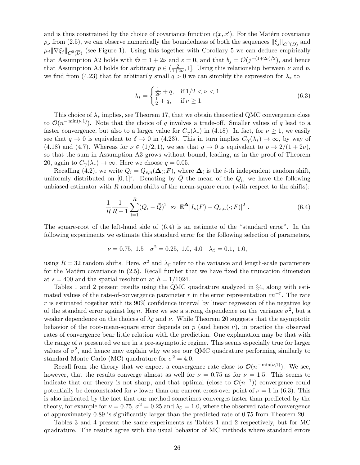and is thus constrained by the choice of covariance function  $c(x, x')$ . For the Matérn covariance  $\rho_{\nu}$  from (2.5), we can observe numerically the boundedness of both the sequences  $\|\xi_j\|_{\mathbf{C}^0(\overline{D})}$  and  $\mu_j \|\nabla \xi_j\|_{\mathbf{C}^0(\overline{D})}$  (see Figure 1). Using this together with Corollary 5 we can deduce empirically that Assumption A2 holds with  $\Theta = 1 + 2\nu$  and  $\varepsilon = 0$ , and that  $b_j = \mathcal{O}(j^{-(1+2\nu)/2})$ , and hence that Assumption A3 holds for arbitrary  $p \in (\frac{2}{1+i})$  $\frac{2}{1+2\nu}$ , 1. Using this relationship between  $\nu$  and  $p$ , we find from (4.23) that for arbitrarily small  $q > 0$  we can simplify the expression for  $\lambda_*$  to

$$
\lambda_* = \begin{cases} \frac{1}{2\nu} + q, & \text{if } 1/2 < \nu < 1\\ \frac{1}{2} + q, & \text{if } \nu \ge 1. \end{cases}
$$
 (6.3)

This choice of  $\lambda_*$  implies, see Theorem 17, that we obtain theoretical QMC convergence close to  $\mathcal{O}(n^{-\min(\nu,1)})$ . Note that the choice of q involves a trade-off. Smaller values of q lead to a faster convergence, but also to a larger value for  $C_{\gamma}(\lambda_*)$  in (4.18). In fact, for  $\nu \geq 1$ , we easily see that  $q \to 0$  is equivalent to  $\delta \to 0$  in (4.23). This in turn implies  $C_{\gamma}(\lambda_*) \to \infty$ , by way of (4.18) and (4.7). Whereas for  $\nu \in (1/2, 1)$ , we see that  $q \to 0$  is equivalent to  $p \to 2/(1+2\nu)$ , so that the sum in Assumption A3 grows without bound, leading, as in the proof of Theorem 20, again to  $C_{\gamma}(\lambda_*) \to \infty$ . Here we choose  $q = 0.05$ .

Recalling (4.2), we write  $Q_i = Q_{s,n}(\mathbf{\Delta}_i; F)$ , where  $\mathbf{\Delta}_i$  is the *i*-th independent random shift, uniformly distributed on  $[0,1]^s$ . Denoting by  $\overline{Q}$  the mean of the  $Q_i$ , we have the following unbiased estimator with  $R$  random shifts of the mean-square error (with respect to the shifts):

$$
\frac{1}{R}\frac{1}{R-1}\sum_{i=1}^{R}(Q_i-\bar{Q})^2 \approx \mathbb{E}^{\Delta}|I_s(F)-Q_{s,n}(\cdot;F)|^2.
$$
 (6.4)

The square-root of the left-hand side of  $(6.4)$  is an estimate of the "standard error". In the following experiments we estimate this standard error for the following selection of parameters,

$$
\nu = 0.75, \ 1.5 \quad \sigma^2 = 0.25, \ 1.0, \ 4.0 \quad \lambda_{\mathcal{C}} = 0.1, \ 1.0,
$$

using  $R = 32$  random shifts. Here,  $\sigma^2$  and  $\lambda_c$  refer to the variance and length-scale parameters for the Matérn covariance in  $(2.5)$ . Recall further that we have fixed the truncation dimension at  $s = 400$  and the spatial resolution at  $h = 1/1024$ .

Tables 1 and 2 present results using the QMC quadrature analyzed in §4, along with estimated values of the rate-of-convergence parameter r in the error representation  $cn^{-r}$ . The rate  $r$  is estimated together with its 90% confidence interval by linear regression of the negative log of the standard error against  $\log n$ . Here we see a strong dependence on the variance  $\sigma^2$ , but a weaker dependence on the choices of  $\lambda_c$  and  $\nu$ . While Theorem 20 suggests that the asymptotic behavior of the root-mean-square error depends on p (and hence  $\nu$ ), in practice the observed rates of convergence bear little relation with the prediction. One explanation may be that with the range of  $n$  presented we are in a pre-asymptotic regime. This seems especially true for larger values of  $\sigma^2$ , and hence may explain why we see our QMC quadrature performing similarly to standard Monte Carlo (MC) quadrature for  $\sigma^2 = 4.0$ .

Recall from the theory that we expect a convergence rate close to  $\mathcal{O}(n^{-\min(\nu,1)})$ . We see, however, that the results converge almost as well for  $\nu = 0.75$  as for  $\nu = 1.5$ . This seems to indicate that our theory is not sharp, and that optimal (close to  $\mathcal{O}(n^{-1})$ ) convergence could potentially be demonstrated for  $\nu$  lower than our current cross-over point of  $\nu = 1$  in (6.3). This is also indicated by the fact that our method sometimes converges faster than predicted by the theory, for example for  $\nu = 0.75$ ,  $\sigma^2 = 0.25$  and  $\lambda_c = 1.0$ , where the observed rate of convergence of approximately 0.89 is significantly larger than the predicted rate of 0.75 from Theorem 20.

Tables 3 and 4 present the same experiments as Tables 1 and 2 respectively, but for MC quadrature. The results agree with the usual behavior of MC methods where standard errors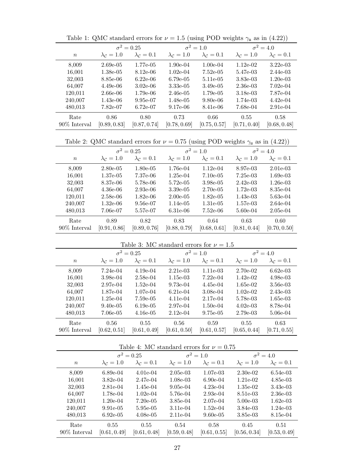|              | $\sigma^2 = 0.25$ |                             | $\sigma^2=1.0$                                                                            |                             | $\sigma^2 = 4.0$            |                             |
|--------------|-------------------|-----------------------------|-------------------------------------------------------------------------------------------|-----------------------------|-----------------------------|-----------------------------|
| $\, n$       | $\lambda_c=1.0$   | $\lambda_{\mathcal{C}}=0.1$ | $\lambda_{\mathcal{C}}=1.0$                                                               | $\lambda_{\mathcal{C}}=0.1$ | $\lambda_{\mathcal{C}}=1.0$ | $\lambda_{\mathcal{C}}=0.1$ |
| 8,009        | $2.69e-05$        | 1.77e-05                    | $1.90e-04$                                                                                | $1.00e-04$                  | $1.12e-02$                  | $3.22e-03$                  |
| 16,001       | $1.38e-05$        | $8.12e-06$                  | $1.02e-04$                                                                                | $7.52e-05$                  | 5.47e-03                    | 2.44e-03                    |
| 32,003       | 8.85e-06          | $6.22e-06$                  | $6.79e-05$                                                                                | 5.11e-05                    | 3.83e-03                    | $1.20e-03$                  |
| 64,007       | $4.49e-06$        | $3.02e-06$                  | 3.33e-05                                                                                  | $3.49e-05$                  | $2.36e-03$                  | $7.02e-04$                  |
| 120,011      | $2.66e-06$        | $1.79e-06$                  | $2.46e-05$                                                                                | $1.79e-05$                  | 3.18e-03                    | 7.87e-04                    |
| 240,007      | $1.43e-06$        | 9.95e-07                    | 1.48e-05                                                                                  | 9.80e-06                    | 1.74e-03                    | $4.42e-04$                  |
| 480,013      | 7.82e-07          | $6.72e-07$                  | 9.17e-06                                                                                  | 8.41e-06                    | 7.68e-04                    | $2.91e-04$                  |
| Rate         | 0.86              | 0.80                        | 0.73                                                                                      | 0.66                        | 0.55                        | 0.58                        |
| 90% Interval | [0.89, 0.83]      | [0.87, 0.74]                | [0.78, 0.69]                                                                              | [0.75, 0.57]                | [0.71, 0.40]                | [0.68, 0.48]                |
|              |                   |                             |                                                                                           |                             |                             |                             |
|              |                   |                             | Table 2: QMC standard errors for $\nu = 0.75$ (using POD weights $\gamma_u$ as in (4.22)) |                             |                             |                             |
|              | $\sigma^2=0.25$   |                             | $\sigma^2=1.0$                                                                            |                             |                             | $\sigma^2=4.0$              |
| $\, n$       | $\lambda_c=1.0$   | $\lambda_c=0.1$             | $\lambda_c=1.0$                                                                           | $\lambda_{\mathcal{C}}=0.1$ | $\lambda_c=1.0$             | $\lambda_{\mathcal{C}}=0.1$ |
| 8,009        | $2.80e-0.5$       | $1.80e-05$                  | 1.76e-04                                                                                  | $1.12e-04$                  | 8.97e-03                    | $2.01e-03$                  |
| 16,001       | $1.37e-05$        | 7.37e-06                    | $1.25e-04$                                                                                | $7.10e-05$                  | $7.25e-03$                  | $1.69e-03$                  |
| 32,003       | 8.37e-06          | 5.78e-06                    | 5.72e-05                                                                                  | $3.98e-05$                  | $2.42e-03$                  | $1.26e-03$                  |
| 64,007       | $4.36e-06$        | $2.93e-06$                  | $3.39e-05$                                                                                | $2.70e-0.5$                 | $1.72e-03$                  | 8.35e-04                    |
| 120,011      | 2.58e-06          | $1.82e-06$                  | $2.00e-05$                                                                                | $1.82e-05$                  | $1.43e-03$                  | 5.63e-04                    |
| 240,007      | $1.32e-06$        | $9.56e-07$                  | 1.14e-05                                                                                  | $1.31e-05$                  | 1.57e-03                    | $2.64e-04$                  |
| 480,013      | 7.06e-07          | 5.57e-07                    | $6.31e-06$                                                                                | $7.52e-06$                  | 5.60e-04                    | $2.05e-04$                  |
| Rate         | 0.89              | 0.82                        | 0.83                                                                                      | 0.64                        | 0.63                        | 0.60                        |
| 90% Interval | [0.91, 0.86]      | [0.89, 0.76]                | [0.88, 0.79]                                                                              | [0.68, 0.61]                | [0.81, 0.44]                | [0.70, 0.50]                |
|              |                   |                             |                                                                                           |                             |                             |                             |
|              |                   |                             | Table 3: MC standard errors for $\nu = 1.5$                                               |                             |                             |                             |
|              |                   | $\sigma^2 = 0.95$           | $\sigma^2 = 1.0$                                                                          |                             | $\tau^2 = 4.0$              |                             |

Table 1: QMC standard errors for  $\nu = 1.5$  (using POD weights  $\gamma_u$  as in (4.22))

|               |                   | Table 5. INC standard cribis for $\nu = 1.5$ |                  |                 |                  |                             |
|---------------|-------------------|----------------------------------------------|------------------|-----------------|------------------|-----------------------------|
|               | $\sigma^2 = 0.25$ |                                              | $\sigma^2 = 1.0$ |                 | $\sigma^2 = 4.0$ |                             |
| $\,n$         | $\lambda_c=1.0$   | $\lambda_c=0.1$                              | $\lambda_c=1.0$  | $\lambda_c=0.1$ | $\lambda_c=1.0$  | $\lambda_{\mathcal{C}}=0.1$ |
| 8,009         | $7.24e-04$        | $4.19e-04$                                   | $2.21e-03$       | 1.11e-03        | $2.70e-02$       | $6.62e-03$                  |
| 16,001        | 3.98e-04          | $2.58e-04$                                   | $1.15e-03$       | $7.22e-04$      | $1.42e-02$       | $4.98e-03$                  |
| 32,003        | 2.97e-04          | $1.52e-04$                                   | $9.73e-04$       | $4.45e-04$      | $1.65e-02$       | $3.56e-03$                  |
| 64,007        | 1.87e-04          | $1.07e-04$                                   | $6.21e-04$       | $3.08e-04$      | $1.02e-02$       | $2.43e-03$                  |
| 120,011       | $1.25e-04$        | 7.59e-05                                     | 4.11e-04         | 2.17e-04        | 5.78e-03         | $1.65e-03$                  |
| 240,007       | $9.40e-05$        | $6.19e-0.5$                                  | 2.97e-04         | $1.50e-04$      | $4.02e-03$       | 8.78e-04                    |
| 480,013       | 7.06e-05          | $4.16e-0.5$                                  | $2.12e-04$       | $9.75e-0.5$     | $2.79e-03$       | 5.06e-04                    |
| Rate          | 0.56              | 0.55                                         | 0.56             | 0.59            | 0.55             | 0.63                        |
| 90\% Interval | [0.62, 0.51]      | [0.61, 0.49]                                 | [0.61, 0.50]     | [0.61, 0.57]    | [0.65, 0.44]     | [0.71, 0.55]                |

| Lable 4. MC stalluatu ettuis lui $\nu = 0.19$ |                   |                 |                 |                 |                  |                 |
|-----------------------------------------------|-------------------|-----------------|-----------------|-----------------|------------------|-----------------|
|                                               | $\sigma^2 = 0.25$ |                 | $\sigma^2=1.0$  |                 | $\sigma^2 = 4.0$ |                 |
| $\,n$                                         | $\lambda_c=1.0$   | $\lambda_c=0.1$ | $\lambda_c=1.0$ | $\lambda_c=0.1$ | $\lambda_c=1.0$  | $\lambda_c=0.1$ |
| 8,009                                         | $6.89e-04$        | $4.01e-04$      | $2.05e-0.3$     | $1.07e-0.3$     | $2.30e-02$       | $6.54e-0.3$     |
| 16,001                                        | $3.82e-04$        | 2.47e-04        | $1.08e-03$      | $6.90e-04$      | $1.21e-02$       | $4.85e-03$      |
| 32,003                                        | $2.81e-04$        | $1.45e-04$      | $9.05e-04$      | $4.23e-04$      | $1.35e-02$       | $3.43e-03$      |
| 64,007                                        | 1.78e-04          | $1.02e-04$      | 5.76e-04        | $2.93e-04$      | 8.51e-03         | $2.36e-03$      |
| 120,011                                       | $1.20e-04$        | $7.20e-0.5$     | 3.85e-04        | $2.07e-04$      | $5.00e-03$       | $1.62e-03$      |
| 240,007                                       | $9.91e-0.5$       | 5.95e-05        | 3.11e-04        | $1.52e-04$      | 3.84e-03         | $1.24e-0.3$     |
| 480,013                                       | $6.92e-0.5$       | $4.08e-05$      | $2.11e-04$      | $9.60e-05$      | $3.85e-03$       | 8.15e-04        |
| Rate                                          | 0.55              | 0.55            | 0.54            | 0.58            | 0.45             | 0.51            |
| 90\% Interval                                 | [0.61, 0.49]      | [0.61, 0.48]    | [0.59, 0.48]    | [0.61, 0.55]    | [0.56, 0.34]     | [0.53, 0.49]    |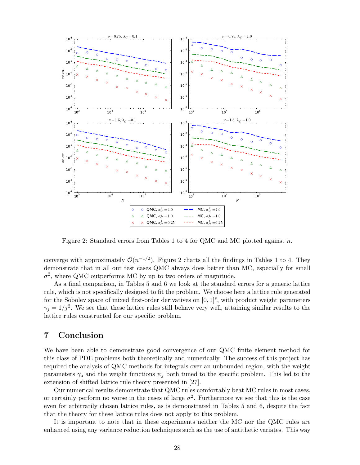

Figure 2: Standard errors from Tables 1 to 4 for QMC and MC plotted against n.

converge with approximately  $\mathcal{O}(n^{-1/2})$ . Figure 2 charts all the findings in Tables 1 to 4. They demonstrate that in all our test cases QMC always does better than MC, especially for small  $\sigma^2$ , where QMC outperforms MC by up to two orders of magnitude.

As a final comparison, in Tables 5 and 6 we look at the standard errors for a generic lattice rule, which is not specifically designed to fit the problem. We choose here a lattice rule generated for the Sobolev space of mixed first-order derivatives on  $[0,1]^s$ , with product weight parameters  $\gamma_j = 1/j^2$ . We see that these lattice rules still behave very well, attaining similar results to the lattice rules constructed for our specific problem.

## 7 Conclusion

We have been able to demonstrate good convergence of our QMC finite element method for this class of PDE problems both theoretically and numerically. The success of this project has required the analysis of QMC methods for integrals over an unbounded region, with the weight parameters  $\gamma_{\mu}$  and the weight functions  $\psi_j$  both tuned to the specific problem. This led to the extension of shifted lattice rule theory presented in [27].

Our numerical results demonstrate that QMC rules comfortably beat MC rules in most cases, or certainly perform no worse in the cases of large  $\sigma^2$ . Furthermore we see that this is the case even for arbitrarily chosen lattice rules, as is demonstrated in Tables 5 and 6, despite the fact that the theory for these lattice rules does not apply to this problem.

It is important to note that in these experiments neither the MC nor the QMC rules are enhanced using any variance reduction techniques such as the use of antithetic variates. This way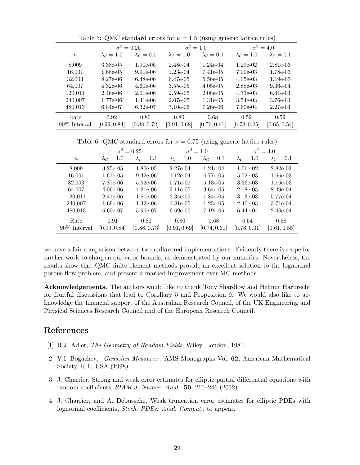|                  | $\sigma^2 = 0.25$           |                             | $\sigma^2=1.0$              |                                                                             | $\sigma^2 = 4.0$            |                             |
|------------------|-----------------------------|-----------------------------|-----------------------------|-----------------------------------------------------------------------------|-----------------------------|-----------------------------|
| $\, n$           | $\lambda_c=1.0$             | $\lambda_{\mathcal{C}}=0.1$ | $\lambda_{\mathcal{C}}=1.0$ | $\lambda_{\mathcal{C}}=0.1$                                                 | $\lambda_{\mathcal{C}}=1.0$ | $\lambda_{\mathcal{C}}=0.1$ |
| 8,009            | $3.38e-0.5$                 | $1.90e-05$                  | $2.48e-04$                  | $1.24e-04$                                                                  | $1.29e-02$                  | $2.81e-03$                  |
| 16,001           | $1.68e-05$                  | $9.91e-06$                  | $1.23e-04$                  | 7.41e-05                                                                    | $7.00e-03$                  | 1.78e-03                    |
| 32,003           | 8.27e-06                    | $6.48e-06$                  | 6.47e-05                    | 5.56e-05                                                                    | $4.05e-03$                  | $1.19e-03$                  |
| 64,007           | $4.32e-06$                  | $4.60e-06$                  | 3.55e-05                    | $4.05e-05$                                                                  | $2.88e-03$                  | $9.36e-04$                  |
| 120,011          | $2.46e-06$                  | $2.01e-06$                  | $2.59e-05$                  | $2.08e-05$                                                                  | $4.33e-03$                  | 6.41e-04                    |
| 240,007          | 1.77e-06                    | 1.41e-06                    | $2.07e-05$                  | $1.31e-0.5$                                                                 | $3.54e-03$                  | 3.76e-04                    |
| 480,013          | 6.84e-07                    | $6.32e-07$                  | $7.10e-06$                  | $7.26e-06$                                                                  | $7.60e-04$                  | $2.27e-04$                  |
| Rate             | 0.92                        | 0.80                        | 0.80                        | 0.68                                                                        | 0.52                        | 0.59                        |
| 90% Interval     | [0.99, 0.84]                | [0.88, 0.72]                | [0.91, 0.68]                | [0.76, 0.61]                                                                | [0.78, 0.25]                | [0.65, 0.54]                |
|                  |                             |                             |                             |                                                                             |                             |                             |
|                  |                             |                             |                             | Table 6: QMC standard errors for $\nu = 0.75$ (using generic lattice rules) |                             |                             |
|                  | $\sigma^2 = 0.25$           |                             | $\sigma^2=1.0$              |                                                                             | $\sigma^2 = 4.0$            |                             |
| $\boldsymbol{n}$ | $\lambda_{\mathcal{C}}=1.0$ | $\lambda_{\mathcal{C}}=0.1$ | $\lambda_{\mathcal{C}}=1.0$ | $\lambda_{\mathcal{C}}=0.1$                                                 | $\lambda_c=1.0$             | $\lambda_{\mathcal{C}}=0.1$ |
| 8,009            | $3.25e-05$                  | $1.80e-0.5$                 | $2.27e-04$                  | $1.21e-04$                                                                  | $1.06e-02$                  | $2.82e-03$                  |
| 16,001           | 1.61e-05                    | $9.42e-06$                  | $1.12e-04$                  | 6.77e-05                                                                    | $5.52e-03$                  | $1.66e-03$                  |
| 32,003           | 7.87e-06                    | $5.92e-06$                  | 5.71e-05                    | $5.13e-05$                                                                  | 3.36e-03                    | $1.16e-03$                  |
| 64,007           | $4.06e-06$                  | $4.21e-06$                  | $3.11e-05$                  | $3.64e-05$                                                                  | $2.18e-03$                  | 8.49e-04                    |
| 120,011          | $2.41e-06$                  | 1.81e-06                    | $2.34e-05$                  | 1.84e-05                                                                    | $3.13e-03$                  | 5.77e-04                    |
| 240,007          | $1.69e-06$                  | $1.32e-06$                  | 1.81e-05                    | $1.25e-0.5$                                                                 | $2.40e-03$                  | 3.71e-04                    |
| 480,013          | $6.60e-07$                  | 5.96e-07                    | $6.69e-06$                  | $7.19e-06$                                                                  | $6.44e-04$                  | $2.40e-04$                  |
| Rate             | 0.91                        | 0.81                        | 0.80                        | 0.68                                                                        | 0.54                        | 0.58                        |

Table 5: QMC standard errors for  $\nu = 1.5$  (using generic lattice rules)

we have a fair comparison between two unflavored implementations. Evidently there is scope for further work to sharpen our error bounds, as demonstrated by our numerics. Nevertheless, the results show that QMC finite element methods provide an excellent solution to the lognormal porous flow problem, and present a marked improvement over MC methods.

90% Interval [0.99, 0.84] [0.88, 0.73] [0.91, 0.69] [0.74, 0.61] [0.76, 0.31] [0.61, 0.55]

Acknowledgements. The authors would like to thank Tony Shardlow and Helmut Harbrecht for fruitful discussions that lead to Corollary 5 and Proposition 9. We would also like to acknowledge the financial support of the Australian Research Council, of the UK Engineering and Physical Sciences Research Council and of the European Research Council.

# References

- [1] R.J. Adler, *The Geometry of Random Fields*, Wiley, London, 1981.
- [2] V.I. Bogachev, *Gaussian Measures* , AMS Monographs Vol. 62, American Mathematical Society, R.I., USA (1998).
- [3] J. Charrier, Strong and weak error estimates for elliptic partial differential equations with random coefficients, *SIAM J. Numer. Anal.*, 50, 216–246 (2012).
- [4] J. Charrier, and A. Debussche, Weak truncation error estimates for elliptic PDEs with lognormal coefficients, *Stoch. PDEs: Anal. Comput.*, to appear.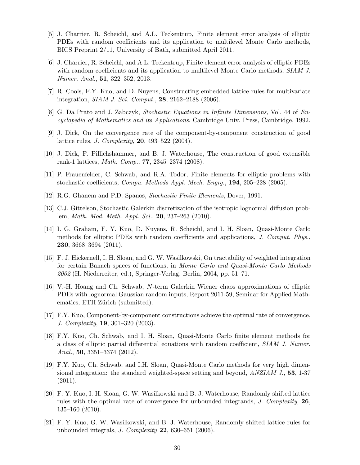- [5] J. Charrier, R. Scheichl, and A.L. Teckentrup, Finite element error analysis of elliptic PDEs with random coefficients and its application to multilevel Monte Carlo methods, BICS Preprint 2/11, University of Bath, submitted April 2011.
- [6] J. Charrier, R. Scheichl, and A.L. Teckentrup, Finite element error analysis of elliptic PDEs with random coefficients and its application to multilevel Monte Carlo methods, *SIAM J. Numer. Anal.*, 51, 322–352, 2013.
- [7] R. Cools, F.Y. Kuo, and D. Nuyens, Constructing embedded lattice rules for multivariate integration, *SIAM J. Sci. Comput.*, 28, 2162–2188 (2006).
- [8] G. Da Prato and J. Zabczyk, *Stochastic Equations in Infinite Dimensions*, Vol. 44 of *Encyclopedia of Mathematics and its Applications*. Cambridge Univ. Press, Cambridge, 1992.
- [9] J. Dick, On the convergence rate of the component-by-component construction of good lattice rules, *J. Complexity*, 20, 493–522 (2004).
- [10] J. Dick, F. Pillichshammer, and B. J. Waterhouse, The construction of good extensible rank-1 lattices, *Math. Comp.*, 77, 2345–2374 (2008).
- [11] P. Frauenfelder, C. Schwab, and R.A. Todor, Finite elements for elliptic problems with stochastic coefficients, *Compu. Methods Appl. Mech. Engrg.*, 194, 205–228 (2005).
- [12] R.G. Ghanem and P.D. Spanos, *Stochastic Finite Elements*, Dover, 1991.
- [13] C.J. Gittelson, Stochastic Galerkin discretization of the isotropic lognormal diffusion problem, *Math. Mod. Meth. Appl. Sci.*, 20, 237–263 (2010).
- [14] I. G. Graham, F. Y. Kuo, D. Nuyens, R. Scheichl, and I. H. Sloan, Quasi-Monte Carlo methods for elliptic PDEs with random coefficients and applications, *J. Comput. Phys.*, 230, 3668–3694 (2011).
- [15] F. J. Hickernell, I. H. Sloan, and G. W. Wasilkowski, On tractability of weighted integration for certain Banach spaces of functions, in *Monte Carlo and Quasi-Monte Carlo Methods 2002* (H. Niederreiter, ed.), Springer-Verlag, Berlin, 2004, pp. 51–71.
- [16] V.-H. Hoang and Ch. Schwab, N-term Galerkin Wiener chaos approximations of elliptic PDEs with lognormal Gaussian random inputs, Report 2011-59, Seminar for Applied Mathematics, ETH Zürich (submitted).
- [17] F.Y. Kuo, Component-by-component constructions achieve the optimal rate of convergence, *J. Complexity*, 19, 301–320 (2003).
- [18] F.Y. Kuo, Ch. Schwab, and I. H. Sloan, Quasi-Monte Carlo finite element methods for a class of elliptic partial differential equations with random coefficient, *SIAM J. Numer. Anal.*, 50, 3351–3374 (2012).
- [19] F.Y. Kuo, Ch. Schwab, and I.H. Sloan, Quasi-Monte Carlo methods for very high dimensional integration: the standard weighted-space setting and beyond, *ANZIAM J.*, 53, 1-37 (2011).
- [20] F. Y. Kuo, I. H. Sloan, G. W. Wasilkowski and B. J. Waterhouse, Randomly shifted lattice rules with the optimal rate of convergence for unbounded integrands, *J. Complexity*, 26, 135–160 (2010).
- [21] F. Y. Kuo, G. W. Wasilkowski, and B. J. Waterhouse, Randomly shifted lattice rules for unbounded integrals, *J. Complexity* 22, 630–651 (2006).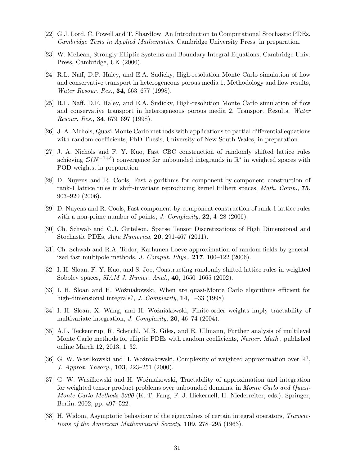- [22] G.J. Lord, C. Powell and T. Shardlow, An Introduction to Computational Stochastic PDEs, *Cambridge Texts in Applied Mathematics*, Cambridge University Press, in preparation.
- [23] W. McLean, Strongly Elliptic Systems and Boundary Integral Equations, Cambridge Univ. Press, Cambridge, UK (2000).
- [24] R.L. Naff, D.F. Haley, and E.A. Sudicky, High-resolution Monte Carlo simulation of flow and conservative transport in heterogeneous porous media 1. Methodology and flow results, *Water Resour. Res.*, 34, 663–677 (1998).
- [25] R.L. Naff, D.F. Haley, and E.A. Sudicky, High-resolution Monte Carlo simulation of flow and conservative transport in heterogeneous porous media 2. Transport Results, *Water Resour. Res.*, 34, 679–697 (1998).
- [26] J. A. Nichols, Quasi-Monte Carlo methods with applications to partial differential equations with random coefficients, PhD Thesis, University of New South Wales, in preparation.
- [27] J. A. Nichols and F. Y. Kuo, Fast CBC construction of randomly shifted lattice rules achieving  $\mathcal{O}(N^{-1+\delta})$  convergence for unbounded integrands in  $\mathbb{R}^s$  in weighted spaces with POD weights, in preparation.
- [28] D. Nuyens and R. Cools, Fast algorithms for component-by-component construction of rank-1 lattice rules in shift-invariant reproducing kernel Hilbert spaces, *Math. Comp.*, 75, 903–920 (2006).
- [29] D. Nuyens and R. Cools, Fast component-by-component construction of rank-1 lattice rules with a non-prime number of points, *J. Complexity*, 22, 4–28 (2006).
- [30] Ch. Schwab and C.J. Gittelson, Sparse Tensor Discretizations of High Dimensional and Stochastic PDEs, *Acta Numerica*, 20, 291-467 (2011).
- [31] Ch. Schwab and R.A. Todor, Karhunen-Loeve approximation of random fields by generalized fast multipole methods, *J. Comput. Phys.*, 217, 100–122 (2006).
- [32] I. H. Sloan, F. Y. Kuo, and S. Joe, Constructing randomly shifted lattice rules in weighted Sobolev spaces, *SIAM J. Numer. Anal.*, 40, 1650–1665 (2002).
- [33] I. H. Sloan and H. Woźniakowski, When are quasi-Monte Carlo algorithms efficient for high-dimensional integrals?, *J. Complexity*, 14, 1–33 (1998).
- [34] I. H. Sloan, X. Wang, and H. Woźniakowski, Finite-order weights imply tractability of multivariate integration, *J. Complexity*, 20, 46–74 (2004).
- [35] A.L. Teckentrup, R. Scheichl, M.B. Giles, and E. Ullmann, Further analysis of multilevel Monte Carlo methods for elliptic PDEs with random coefficients, *Numer. Math.*, published online March 12, 2013, 1–32.
- [36] G. W. Wasilkowski and H. Woźniakowski, Complexity of weighted approximation over  $\mathbb{R}^1$ , *J. Approx. Theory.*, 103, 223–251 (2000).
- [37] G. W. Wasilkowski and H. Woźniakowski, Tractability of approximation and integration for weighted tensor product problems over unbounded domains, in *Monte Carlo and Quasi-Monte Carlo Methods 2000* (K.-T. Fang, F. J. Hickernell, H. Niederreiter, eds.), Springer, Berlin, 2002, pp. 497–522.
- [38] H. Widom, Asymptotic behaviour of the eigenvalues of certain integral operators, *Transactions of the American Mathematical Society*, 109, 278–295 (1963).